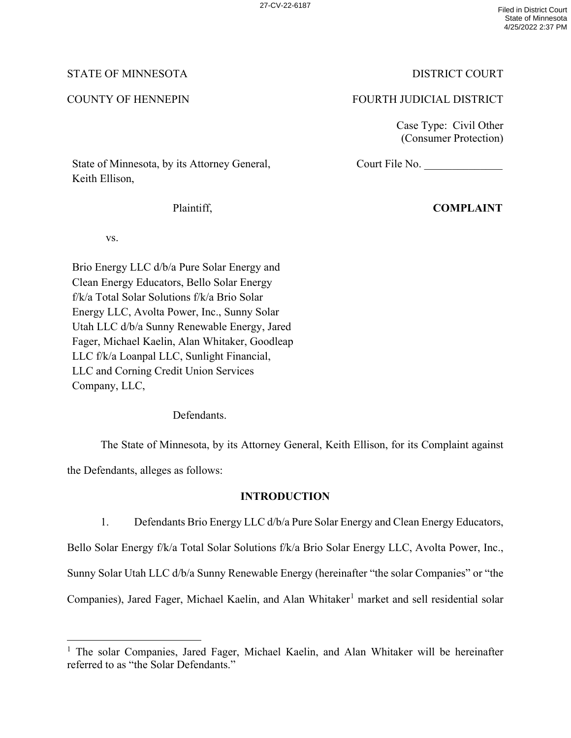# STATE OF MINNESOTA DISTRICT COURT

# COUNTY OF HENNEPIN FOURTH JUDICIAL DISTRICT

Court File No.

Case Type: Civil Other (Consumer Protection)

State of Minnesota, by its Attorney General, Keith Ellison,

Plaintiff,

**COMPLAINT**

vs.

Brio Energy LLC d/b/a Pure Solar Energy and Clean Energy Educators, Bello Solar Energy f/k/a Total Solar Solutions f/k/a Brio Solar Energy LLC, Avolta Power, Inc., Sunny Solar Utah LLC d/b/a Sunny Renewable Energy, Jared Fager, Michael Kaelin, Alan Whitaker, Goodleap LLC f/k/a Loanpal LLC, Sunlight Financial, LLC and Corning Credit Union Services Company, LLC,

Defendants.

The State of Minnesota, by its Attorney General, Keith Ellison, for its Complaint against

the Defendants, alleges as follows:

# **INTRODUCTION**

1. Defendants Brio Energy LLC d/b/a Pure Solar Energy and Clean Energy Educators, Bello Solar Energy f/k/a Total Solar Solutions f/k/a Brio Solar Energy LLC, Avolta Power, Inc., Sunny Solar Utah LLC d/b/a Sunny Renewable Energy (hereinafter "the solar Companies" or "the Companies), Jared Fager, Michael Kaelin, and Alan Whitaker<sup>1</sup> market and sell residential solar

<sup>&</sup>lt;sup>1</sup> The solar Companies, Jared Fager, Michael Kaelin, and Alan Whitaker will be hereinafter referred to as "the Solar Defendants."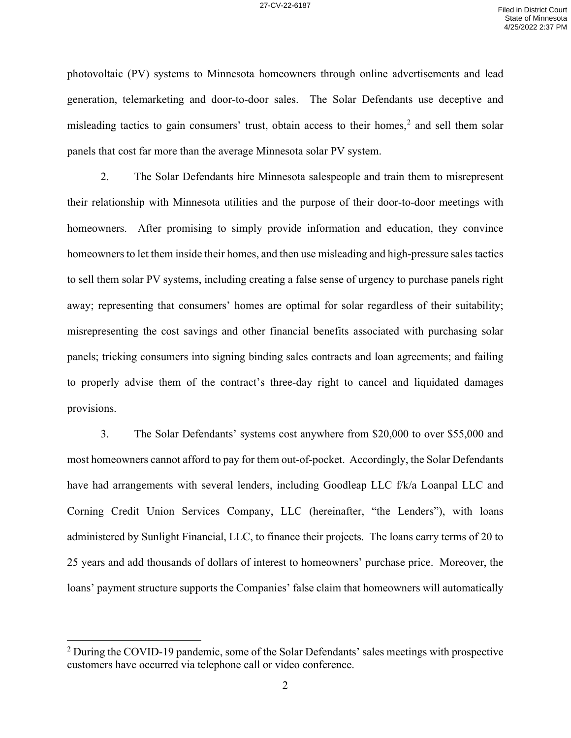photovoltaic (PV) systems to Minnesota homeowners through online advertisements and lead generation, telemarketing and door-to-door sales. The Solar Defendants use deceptive and misleading tactics to gain consumers' trust, obtain access to their homes, $<sup>2</sup>$  and sell them solar</sup> panels that cost far more than the average Minnesota solar PV system.

2. The Solar Defendants hire Minnesota salespeople and train them to misrepresent their relationship with Minnesota utilities and the purpose of their door-to-door meetings with homeowners. After promising to simply provide information and education, they convince homeowners to let them inside their homes, and then use misleading and high-pressure sales tactics to sell them solar PV systems, including creating a false sense of urgency to purchase panels right away; representing that consumers' homes are optimal for solar regardless of their suitability; misrepresenting the cost savings and other financial benefits associated with purchasing solar panels; tricking consumers into signing binding sales contracts and loan agreements; and failing to properly advise them of the contract's three-day right to cancel and liquidated damages provisions.

3. The Solar Defendants' systems cost anywhere from \$20,000 to over \$55,000 and most homeowners cannot afford to pay for them out-of-pocket. Accordingly, the Solar Defendants have had arrangements with several lenders, including Goodleap LLC f/k/a Loanpal LLC and Corning Credit Union Services Company, LLC (hereinafter, "the Lenders"), with loans administered by Sunlight Financial, LLC, to finance their projects. The loans carry terms of 20 to 25 years and add thousands of dollars of interest to homeowners' purchase price. Moreover, the loans' payment structure supports the Companies' false claim that homeowners will automatically

 $2$  During the COVID-19 pandemic, some of the Solar Defendants' sales meetings with prospective customers have occurred via telephone call or video conference.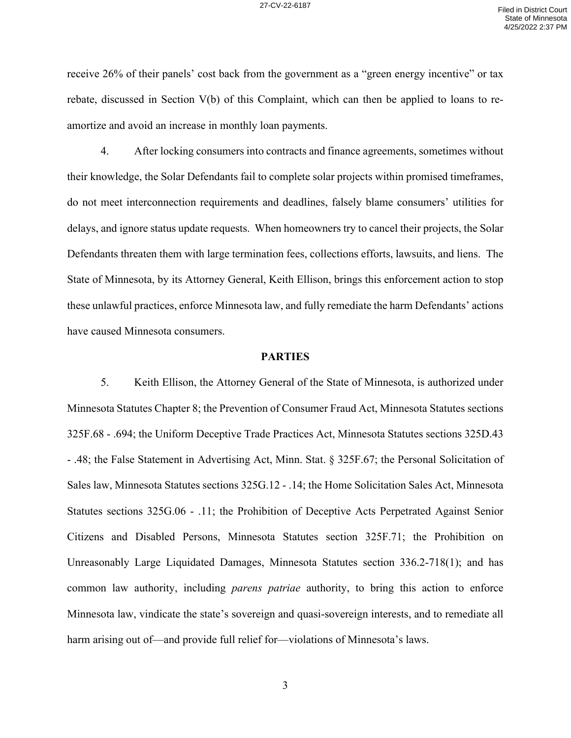receive 26% of their panels' cost back from the government as a "green energy incentive" or tax rebate, discussed in Section V(b) of this Complaint, which can then be applied to loans to reamortize and avoid an increase in monthly loan payments.

4. After locking consumers into contracts and finance agreements, sometimes without their knowledge, the Solar Defendants fail to complete solar projects within promised timeframes, do not meet interconnection requirements and deadlines, falsely blame consumers' utilities for delays, and ignore status update requests. When homeowners try to cancel their projects, the Solar Defendants threaten them with large termination fees, collections efforts, lawsuits, and liens. The State of Minnesota, by its Attorney General, Keith Ellison, brings this enforcement action to stop these unlawful practices, enforce Minnesota law, and fully remediate the harm Defendants' actions have caused Minnesota consumers.

#### **PARTIES**

5. Keith Ellison, the Attorney General of the State of Minnesota, is authorized under Minnesota Statutes Chapter 8; the Prevention of Consumer Fraud Act, Minnesota Statutes sections 325F.68 - .694; the Uniform Deceptive Trade Practices Act, Minnesota Statutes sections 325D.43 - .48; the False Statement in Advertising Act, Minn. Stat. § 325F.67; the Personal Solicitation of Sales law, Minnesota Statutes sections 325G.12 - .14; the Home Solicitation Sales Act, Minnesota Statutes sections 325G.06 - .11; the Prohibition of Deceptive Acts Perpetrated Against Senior Citizens and Disabled Persons, Minnesota Statutes section 325F.71; the Prohibition on Unreasonably Large Liquidated Damages, Minnesota Statutes section 336.2-718(1); and has common law authority, including *parens patriae* authority, to bring this action to enforce Minnesota law, vindicate the state's sovereign and quasi-sovereign interests, and to remediate all harm arising out of—and provide full relief for—violations of Minnesota's laws.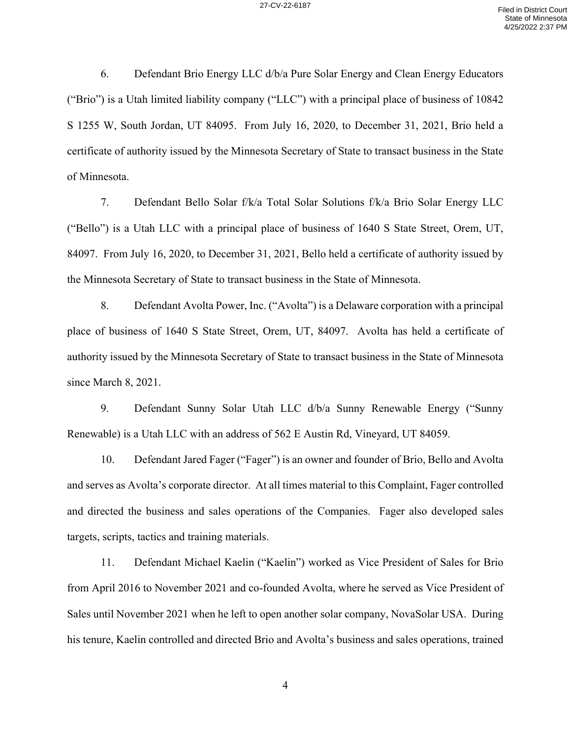6. Defendant Brio Energy LLC d/b/a Pure Solar Energy and Clean Energy Educators ("Brio") is a Utah limited liability company ("LLC") with a principal place of business of 10842 S 1255 W, South Jordan, UT 84095. From July 16, 2020, to December 31, 2021, Brio held a certificate of authority issued by the Minnesota Secretary of State to transact business in the State of Minnesota.

7. Defendant Bello Solar f/k/a Total Solar Solutions f/k/a Brio Solar Energy LLC ("Bello") is a Utah LLC with a principal place of business of 1640 S State Street, Orem, UT, 84097. From July 16, 2020, to December 31, 2021, Bello held a certificate of authority issued by the Minnesota Secretary of State to transact business in the State of Minnesota.

8. Defendant Avolta Power, Inc. ("Avolta") is a Delaware corporation with a principal place of business of 1640 S State Street, Orem, UT, 84097. Avolta has held a certificate of authority issued by the Minnesota Secretary of State to transact business in the State of Minnesota since March 8, 2021.

9. Defendant Sunny Solar Utah LLC d/b/a Sunny Renewable Energy ("Sunny Renewable) is a Utah LLC with an address of 562 E Austin Rd, Vineyard, UT 84059.

10. Defendant Jared Fager ("Fager") is an owner and founder of Brio, Bello and Avolta and serves as Avolta's corporate director. At all times material to this Complaint, Fager controlled and directed the business and sales operations of the Companies. Fager also developed sales targets, scripts, tactics and training materials.

11. Defendant Michael Kaelin ("Kaelin") worked as Vice President of Sales for Brio from April 2016 to November 2021 and co-founded Avolta, where he served as Vice President of Sales until November 2021 when he left to open another solar company, NovaSolar USA. During his tenure, Kaelin controlled and directed Brio and Avolta's business and sales operations, trained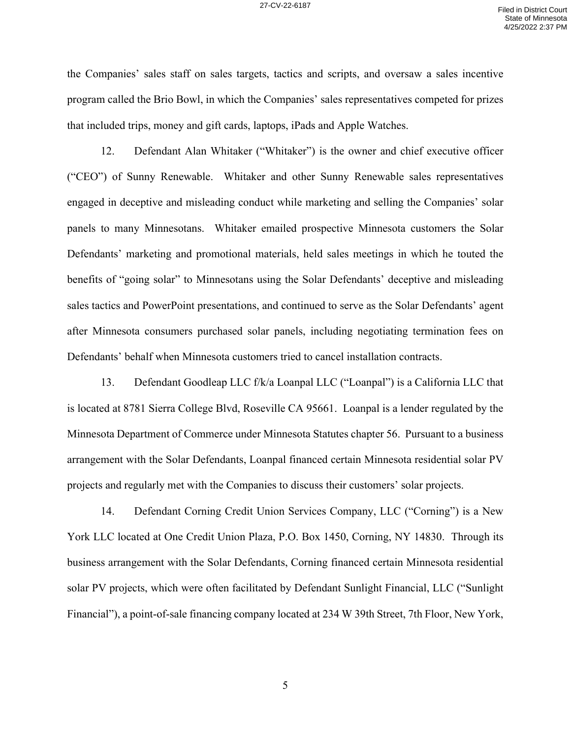the Companies' sales staff on sales targets, tactics and scripts, and oversaw a sales incentive program called the Brio Bowl, in which the Companies' sales representatives competed for prizes that included trips, money and gift cards, laptops, iPads and Apple Watches.

12. Defendant Alan Whitaker ("Whitaker") is the owner and chief executive officer ("CEO") of Sunny Renewable. Whitaker and other Sunny Renewable sales representatives engaged in deceptive and misleading conduct while marketing and selling the Companies' solar panels to many Minnesotans. Whitaker emailed prospective Minnesota customers the Solar Defendants' marketing and promotional materials, held sales meetings in which he touted the benefits of "going solar" to Minnesotans using the Solar Defendants' deceptive and misleading sales tactics and PowerPoint presentations, and continued to serve as the Solar Defendants' agent after Minnesota consumers purchased solar panels, including negotiating termination fees on Defendants' behalf when Minnesota customers tried to cancel installation contracts.

13. Defendant Goodleap LLC f/k/a Loanpal LLC ("Loanpal") is a California LLC that is located at 8781 Sierra College Blvd, Roseville CA 95661. Loanpal is a lender regulated by the Minnesota Department of Commerce under Minnesota Statutes chapter 56. Pursuant to a business arrangement with the Solar Defendants, Loanpal financed certain Minnesota residential solar PV projects and regularly met with the Companies to discuss their customers' solar projects.

14. Defendant Corning Credit Union Services Company, LLC ("Corning") is a New York LLC located at One Credit Union Plaza, P.O. Box 1450, Corning, NY 14830. Through its business arrangement with the Solar Defendants, Corning financed certain Minnesota residential solar PV projects, which were often facilitated by Defendant Sunlight Financial, LLC ("Sunlight Financial"), a point-of-sale financing company located at 234 W 39th Street, 7th Floor, New York,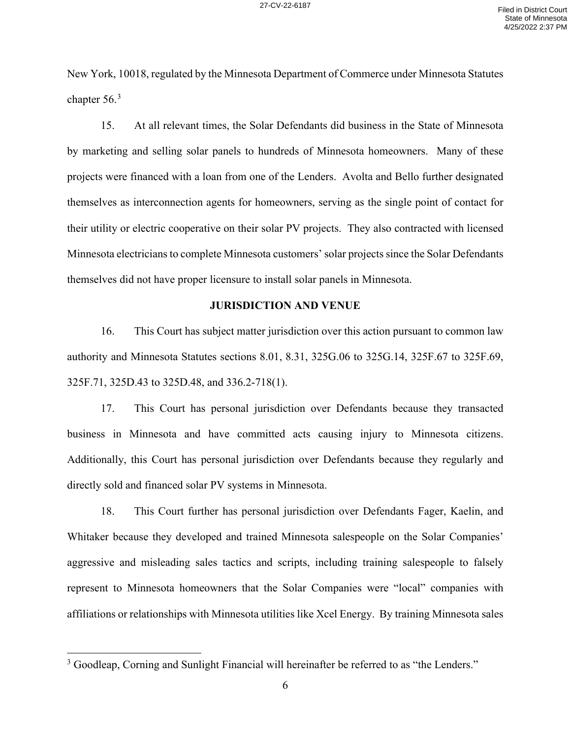New York, 10018, regulated by the Minnesota Department of Commerce under Minnesota Statutes chapter  $56.<sup>3</sup>$ 

15. At all relevant times, the Solar Defendants did business in the State of Minnesota by marketing and selling solar panels to hundreds of Minnesota homeowners. Many of these projects were financed with a loan from one of the Lenders. Avolta and Bello further designated themselves as interconnection agents for homeowners, serving as the single point of contact for their utility or electric cooperative on their solar PV projects. They also contracted with licensed Minnesota electricians to complete Minnesota customers' solar projects since the Solar Defendants themselves did not have proper licensure to install solar panels in Minnesota.

#### **JURISDICTION AND VENUE**

16. This Court has subject matter jurisdiction over this action pursuant to common law authority and Minnesota Statutes sections 8.01, 8.31, 325G.06 to 325G.14, 325F.67 to 325F.69, 325F.71, 325D.43 to 325D.48, and 336.2-718(1).

17. This Court has personal jurisdiction over Defendants because they transacted business in Minnesota and have committed acts causing injury to Minnesota citizens. Additionally, this Court has personal jurisdiction over Defendants because they regularly and directly sold and financed solar PV systems in Minnesota.

18. This Court further has personal jurisdiction over Defendants Fager, Kaelin, and Whitaker because they developed and trained Minnesota salespeople on the Solar Companies' aggressive and misleading sales tactics and scripts, including training salespeople to falsely represent to Minnesota homeowners that the Solar Companies were "local" companies with affiliations or relationships with Minnesota utilities like Xcel Energy. By training Minnesota sales

 $3$  Goodleap, Corning and Sunlight Financial will hereinafter be referred to as "the Lenders."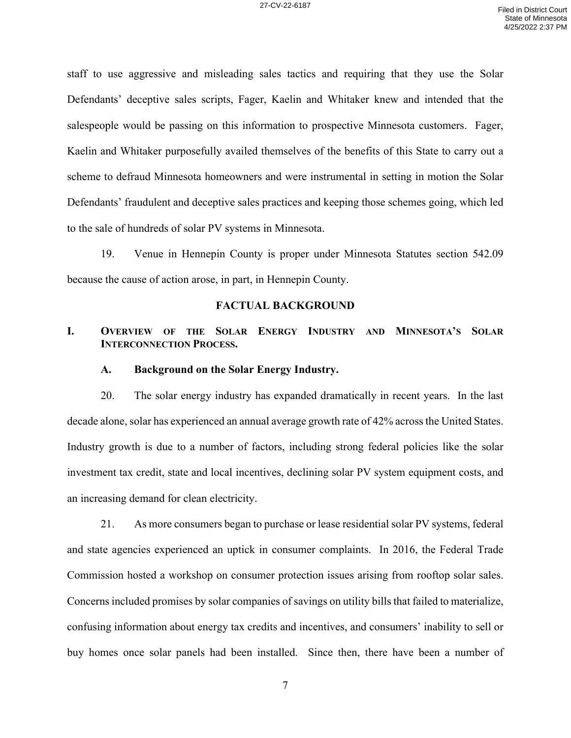staff to use aggressive and misleading sales tactics and requiring that they use the Solar Defendants' deceptive sales scripts, Fager, Kaelin and Whitaker knew and intended that the salespeople would be passing on this information to prospective Minnesota customers. Fager, Kaelin and Whitaker purposefully availed themselves of the benefits of this State to carry out a scheme to defraud Minnesota homeowners and were instrumental in setting in motion the Solar Defendants' fraudulent and deceptive sales practices and keeping those schemes going, which led to the sale of hundreds of solar PV systems in Minnesota.

19. Venue in Hennepin County is proper under Minnesota Statutes section 542.09 because the cause of action arose, in part, in Hennepin County.

#### **FACTUAL BACKGROUND**

## **I. OVERVIEW OF THE SOLAR ENERGY INDUSTRY AND MINNESOTA'S SOLAR INTERCONNECTION PROCESS.**

#### **A. Background on the Solar Energy Industry.**

20. The solar energy industry has expanded dramatically in recent years. In the last decade alone, solar has experienced an annual average growth rate of 42% across the United States. Industry growth is due to a number of factors, including strong federal policies like the solar investment tax credit, state and local incentives, declining solar PV system equipment costs, and an increasing demand for clean electricity.

21. As more consumers began to purchase or lease residential solar PV systems, federal and state agencies experienced an uptick in consumer complaints. In 2016, the Federal Trade Commission hosted a workshop on consumer protection issues arising from rooftop solar sales. Concerns included promises by solar companies of savings on utility bills that failed to materialize, confusing information about energy tax credits and incentives, and consumers' inability to sell or buy homes once solar panels had been installed. Since then, there have been a number of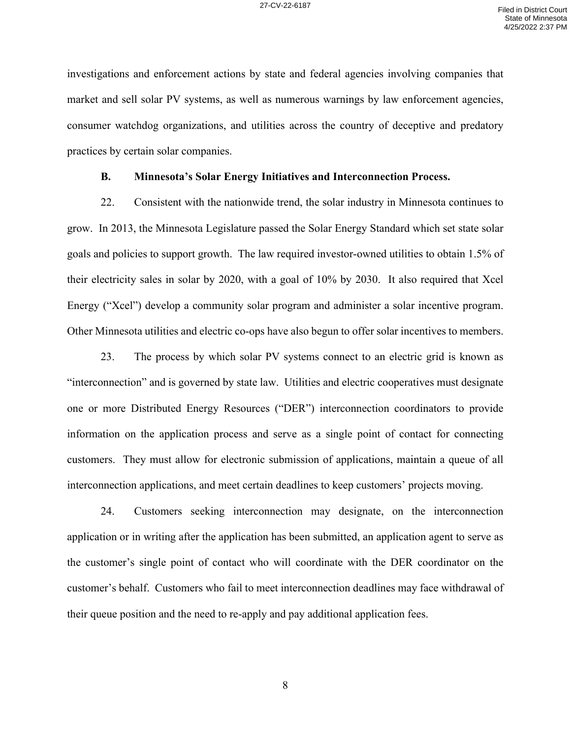investigations and enforcement actions by state and federal agencies involving companies that market and sell solar PV systems, as well as numerous warnings by law enforcement agencies, consumer watchdog organizations, and utilities across the country of deceptive and predatory practices by certain solar companies.

#### **B. Minnesota's Solar Energy Initiatives and Interconnection Process.**

22. Consistent with the nationwide trend, the solar industry in Minnesota continues to grow. In 2013, the Minnesota Legislature passed the Solar Energy Standard which set state solar goals and policies to support growth. The law required investor-owned utilities to obtain 1.5% of their electricity sales in solar by 2020, with a goal of 10% by 2030. It also required that Xcel Energy ("Xcel") develop a community solar program and administer a solar incentive program. Other Minnesota utilities and electric co-ops have also begun to offer solar incentives to members.

23. The process by which solar PV systems connect to an electric grid is known as "interconnection" and is governed by state law. Utilities and electric cooperatives must designate one or more Distributed Energy Resources ("DER") interconnection coordinators to provide information on the application process and serve as a single point of contact for connecting customers. They must allow for electronic submission of applications, maintain a queue of all interconnection applications, and meet certain deadlines to keep customers' projects moving.

24. Customers seeking interconnection may designate, on the interconnection application or in writing after the application has been submitted, an application agent to serve as the customer's single point of contact who will coordinate with the DER coordinator on the customer's behalf. Customers who fail to meet interconnection deadlines may face withdrawal of their queue position and the need to re-apply and pay additional application fees.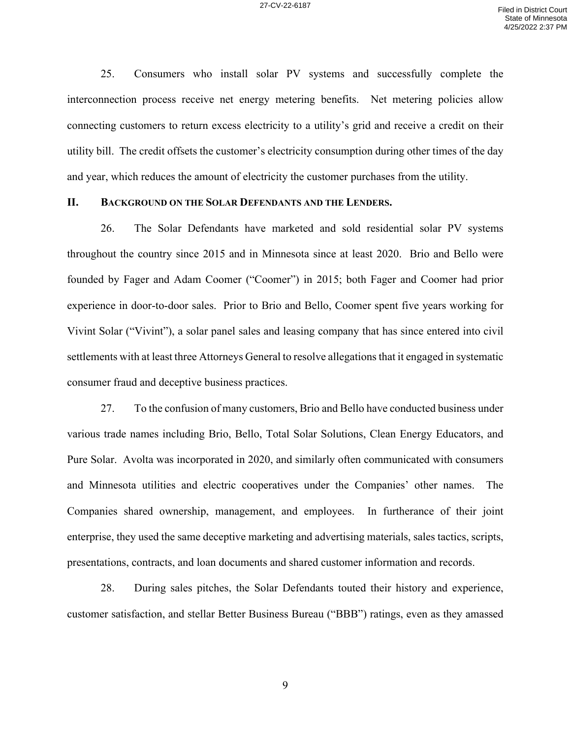25. Consumers who install solar PV systems and successfully complete the interconnection process receive net energy metering benefits. Net metering policies allow connecting customers to return excess electricity to a utility's grid and receive a credit on their utility bill. The credit offsets the customer's electricity consumption during other times of the day and year, which reduces the amount of electricity the customer purchases from the utility.

### **II. BACKGROUND ON THE SOLAR DEFENDANTS AND THE LENDERS.**

26. The Solar Defendants have marketed and sold residential solar PV systems throughout the country since 2015 and in Minnesota since at least 2020. Brio and Bello were founded by Fager and Adam Coomer ("Coomer") in 2015; both Fager and Coomer had prior experience in door-to-door sales. Prior to Brio and Bello, Coomer spent five years working for Vivint Solar ("Vivint"), a solar panel sales and leasing company that has since entered into civil settlements with at least three Attorneys General to resolve allegations that it engaged in systematic consumer fraud and deceptive business practices.

27. To the confusion of many customers, Brio and Bello have conducted business under various trade names including Brio, Bello, Total Solar Solutions, Clean Energy Educators, and Pure Solar. Avolta was incorporated in 2020, and similarly often communicated with consumers and Minnesota utilities and electric cooperatives under the Companies' other names. The Companies shared ownership, management, and employees. In furtherance of their joint enterprise, they used the same deceptive marketing and advertising materials, sales tactics, scripts, presentations, contracts, and loan documents and shared customer information and records.

28. During sales pitches, the Solar Defendants touted their history and experience, customer satisfaction, and stellar Better Business Bureau ("BBB") ratings, even as they amassed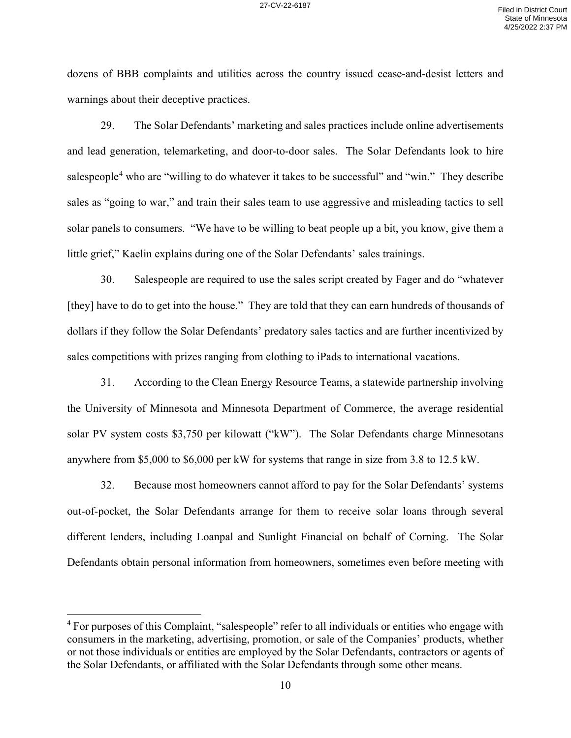dozens of BBB complaints and utilities across the country issued cease-and-desist letters and warnings about their deceptive practices.

29. The Solar Defendants' marketing and sales practices include online advertisements and lead generation, telemarketing, and door-to-door sales. The Solar Defendants look to hire salespeople<sup>4</sup> who are "willing to do whatever it takes to be successful" and "win." They describe sales as "going to war," and train their sales team to use aggressive and misleading tactics to sell solar panels to consumers. "We have to be willing to beat people up a bit, you know, give them a little grief," Kaelin explains during one of the Solar Defendants' sales trainings.

30. Salespeople are required to use the sales script created by Fager and do "whatever [they] have to do to get into the house." They are told that they can earn hundreds of thousands of dollars if they follow the Solar Defendants' predatory sales tactics and are further incentivized by sales competitions with prizes ranging from clothing to iPads to international vacations.

31. According to the Clean Energy Resource Teams, a statewide partnership involving the University of Minnesota and Minnesota Department of Commerce, the average residential solar PV system costs \$3,750 per kilowatt ("kW"). The Solar Defendants charge Minnesotans anywhere from \$5,000 to \$6,000 per kW for systems that range in size from 3.8 to 12.5 kW.

32. Because most homeowners cannot afford to pay for the Solar Defendants' systems out-of-pocket, the Solar Defendants arrange for them to receive solar loans through several different lenders, including Loanpal and Sunlight Financial on behalf of Corning. The Solar Defendants obtain personal information from homeowners, sometimes even before meeting with

<sup>&</sup>lt;sup>4</sup> For purposes of this Complaint, "salespeople" refer to all individuals or entities who engage with consumers in the marketing, advertising, promotion, or sale of the Companies' products, whether or not those individuals or entities are employed by the Solar Defendants, contractors or agents of the Solar Defendants, or affiliated with the Solar Defendants through some other means.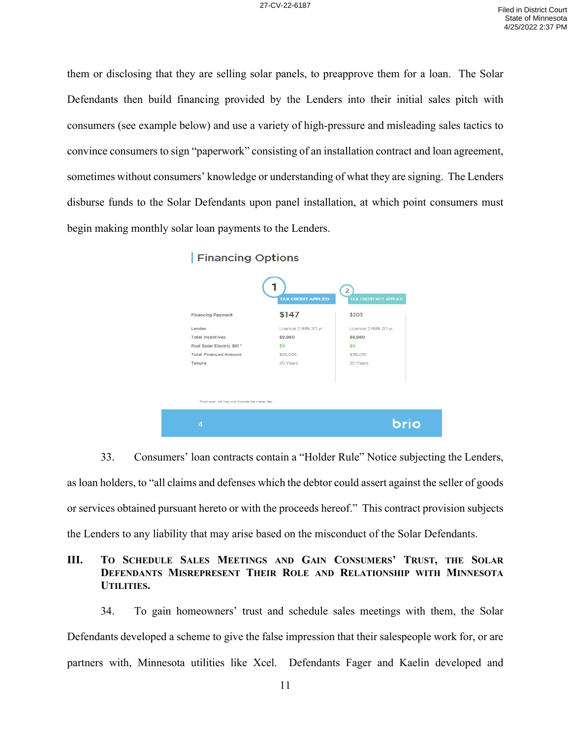them or disclosing that they are selling solar panels, to preapprove them for a loan. The Solar Defendants then build financing provided by the Lenders into their initial sales pitch with consumers (see example below) and use a variety of high-pressure and misleading sales tactics to convince consumers to sign "paperwork" consisting of an installation contract and loan agreement, sometimes without consumers' knowledge or understanding of what they are signing. The Lenders disburse funds to the Solar Defendants upon panel installation, at which point consumers must begin making monthly solar loan payments to the Lenders.

| <b>Financing Options</b>                         |                           |                                                 |
|--------------------------------------------------|---------------------------|-------------------------------------------------|
|                                                  | <b>TAX CREDIT APPLIED</b> | $\overline{2}$<br><b>TAX CREDIT NOT APPLIED</b> |
| <b>Financing Payment</b>                         | \$147                     | \$203                                           |
| Lender                                           | Loanpal 2.99% 20 yr       | Loanpal 2.99% 20 yr                             |
| <b>Total Incentives</b>                          | \$9,960                   | \$9,960                                         |
| Post Solar Electric Bill *                       | \$9                       | \$9                                             |
| <b>Total Financed Amount</b>                     | \$26,056                  | \$36,016                                        |
| Tenure                                           | 20 Years                  | 20 Years                                        |
| * Post solar bill may not include the meter fee. |                           |                                                 |
| 4                                                |                           | brio                                            |

33. Consumers' loan contracts contain a "Holder Rule" Notice subjecting the Lenders, as loan holders, to "all claims and defenses which the debtor could assert against the seller of goods or services obtained pursuant hereto or with the proceeds hereof." This contract provision subjects the Lenders to any liability that may arise based on the misconduct of the Solar Defendants.

# **III. TO SCHEDULE SALES MEETINGS AND GAIN CONSUMERS' TRUST, THE SOLAR DEFENDANTS MISREPRESENT THEIR ROLE AND RELATIONSHIP WITH MINNESOTA UTILITIES.**

34. To gain homeowners' trust and schedule sales meetings with them, the Solar Defendants developed a scheme to give the false impression that their salespeople work for, or are partners with, Minnesota utilities like Xcel. Defendants Fager and Kaelin developed and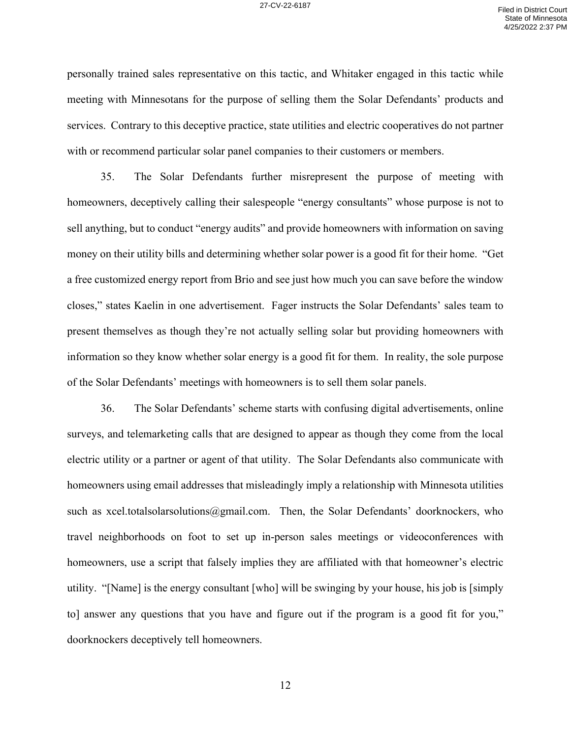personally trained sales representative on this tactic, and Whitaker engaged in this tactic while meeting with Minnesotans for the purpose of selling them the Solar Defendants' products and services. Contrary to this deceptive practice, state utilities and electric cooperatives do not partner with or recommend particular solar panel companies to their customers or members.

35. The Solar Defendants further misrepresent the purpose of meeting with homeowners, deceptively calling their salespeople "energy consultants" whose purpose is not to sell anything, but to conduct "energy audits" and provide homeowners with information on saving money on their utility bills and determining whether solar power is a good fit for their home. "Get a free customized energy report from Brio and see just how much you can save before the window closes," states Kaelin in one advertisement. Fager instructs the Solar Defendants' sales team to present themselves as though they're not actually selling solar but providing homeowners with information so they know whether solar energy is a good fit for them. In reality, the sole purpose of the Solar Defendants' meetings with homeowners is to sell them solar panels.

36. The Solar Defendants' scheme starts with confusing digital advertisements, online surveys, and telemarketing calls that are designed to appear as though they come from the local electric utility or a partner or agent of that utility. The Solar Defendants also communicate with homeowners using email addresses that misleadingly imply a relationship with Minnesota utilities such as xcel.totalsolarsolutions@gmail.com. Then, the Solar Defendants' doorknockers, who travel neighborhoods on foot to set up in-person sales meetings or videoconferences with homeowners, use a script that falsely implies they are affiliated with that homeowner's electric utility. "[Name] is the energy consultant [who] will be swinging by your house, his job is [simply to] answer any questions that you have and figure out if the program is a good fit for you," doorknockers deceptively tell homeowners.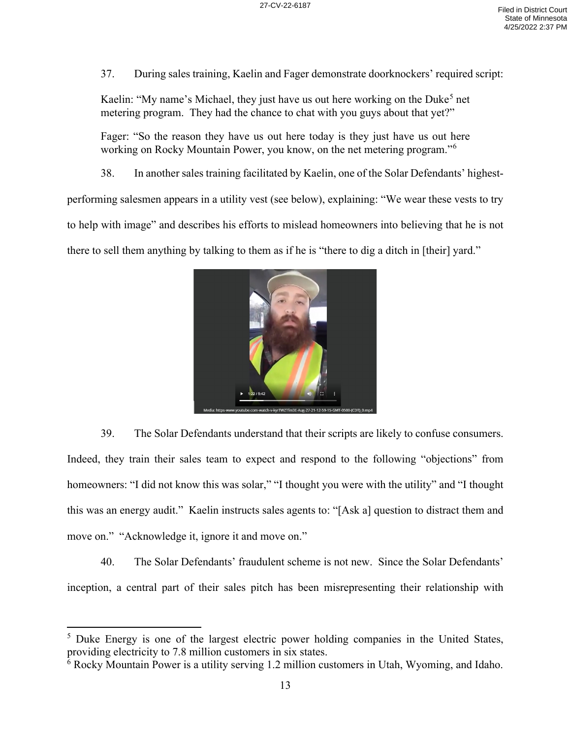37. During sales training, Kaelin and Fager demonstrate doorknockers' required script:

Kaelin: "My name's Michael, they just have us out here working on the Duke<sup>5</sup> net metering program. They had the chance to chat with you guys about that yet?"

Fager: "So the reason they have us out here today is they just have us out here working on Rocky Mountain Power, you know, on the net metering program."<sup>6</sup>

38. In another sales training facilitated by Kaelin, one of the Solar Defendants' highest-

performing salesmen appears in a utility vest (see below), explaining: "We wear these vests to try

to help with image" and describes his efforts to mislead homeowners into believing that he is not

there to sell them anything by talking to them as if he is "there to dig a ditch in [their] yard."



39. The Solar Defendants understand that their scripts are likely to confuse consumers. Indeed, they train their sales team to expect and respond to the following "objections" from homeowners: "I did not know this was solar," "I thought you were with the utility" and "I thought this was an energy audit." Kaelin instructs sales agents to: "[Ask a] question to distract them and move on." "Acknowledge it, ignore it and move on."

40. The Solar Defendants' fraudulent scheme is not new. Since the Solar Defendants' inception, a central part of their sales pitch has been misrepresenting their relationship with

<sup>&</sup>lt;sup>5</sup> Duke Energy is one of the largest electric power holding companies in the United States, providing electricity to 7.8 million customers in six states.

<sup>&</sup>lt;sup>6</sup> Rocky Mountain Power is a utility serving 1.2 million customers in Utah, Wyoming, and Idaho.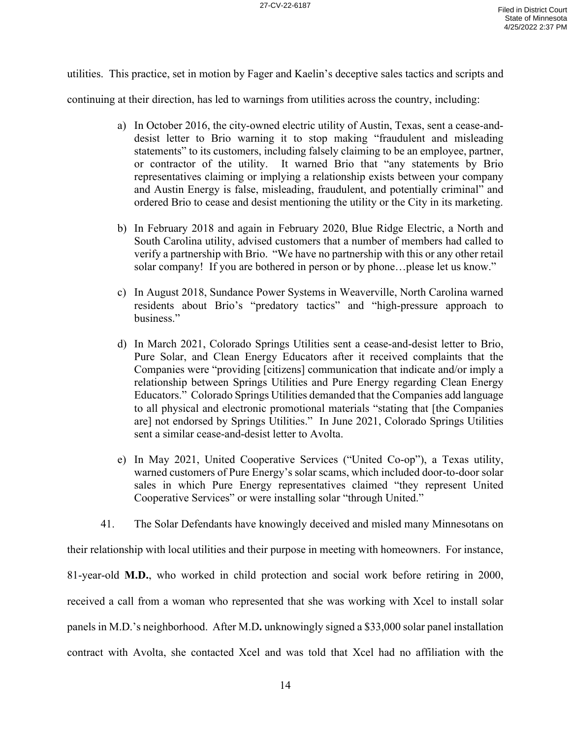utilities. This practice, set in motion by Fager and Kaelin's deceptive sales tactics and scripts and

continuing at their direction, has led to warnings from utilities across the country, including:

- a) In October 2016, the city-owned electric utility of Austin, Texas, sent a cease-anddesist letter to Brio warning it to stop making "fraudulent and misleading statements" to its customers, including falsely claiming to be an employee, partner, or contractor of the utility. It warned Brio that "any statements by Brio representatives claiming or implying a relationship exists between your company and Austin Energy is false, misleading, fraudulent, and potentially criminal" and ordered Brio to cease and desist mentioning the utility or the City in its marketing.
- b) In February 2018 and again in February 2020, Blue Ridge Electric, a North and South Carolina utility, advised customers that a number of members had called to verify a partnership with Brio. "We have no partnership with this or any other retail solar company! If you are bothered in person or by phone…please let us know."
- c) In August 2018, Sundance Power Systems in Weaverville, North Carolina warned residents about Brio's "predatory tactics" and "high-pressure approach to business."
- d) In March 2021, Colorado Springs Utilities sent a cease-and-desist letter to Brio, Pure Solar, and Clean Energy Educators after it received complaints that the Companies were "providing [citizens] communication that indicate and/or imply a relationship between Springs Utilities and Pure Energy regarding Clean Energy Educators." Colorado Springs Utilities demanded that the Companies add language to all physical and electronic promotional materials "stating that [the Companies are] not endorsed by Springs Utilities." In June 2021, Colorado Springs Utilities sent a similar cease-and-desist letter to Avolta.
- e) In May 2021, United Cooperative Services ("United Co-op"), a Texas utility, warned customers of Pure Energy's solar scams, which included door-to-door solar sales in which Pure Energy representatives claimed "they represent United Cooperative Services" or were installing solar "through United."
- 41. The Solar Defendants have knowingly deceived and misled many Minnesotans on

their relationship with local utilities and their purpose in meeting with homeowners. For instance, 81-year-old **M.D.**, who worked in child protection and social work before retiring in 2000, received a call from a woman who represented that she was working with Xcel to install solar panels in M.D.'s neighborhood. After M.D**.** unknowingly signed a \$33,000 solar panel installation contract with Avolta, she contacted Xcel and was told that Xcel had no affiliation with the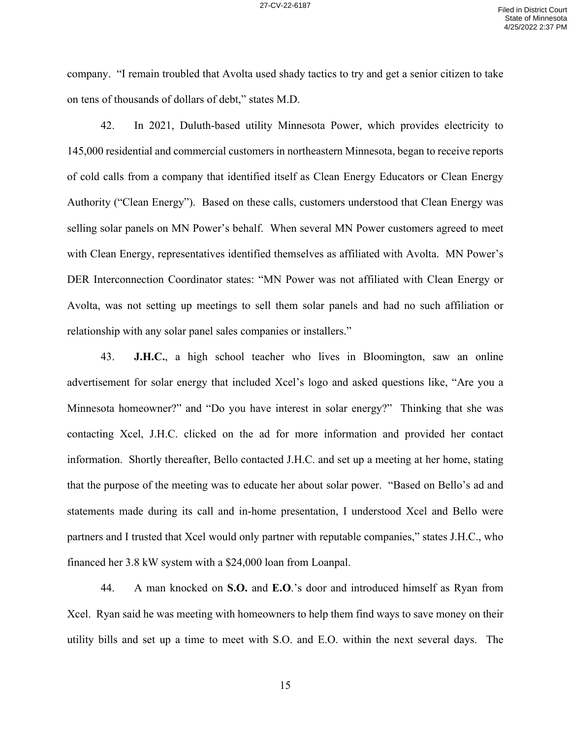company. "I remain troubled that Avolta used shady tactics to try and get a senior citizen to take on tens of thousands of dollars of debt," states M.D.

42. In 2021, Duluth-based utility Minnesota Power, which provides electricity to 145,000 residential and commercial customers in northeastern Minnesota, began to receive reports of cold calls from a company that identified itself as Clean Energy Educators or Clean Energy Authority ("Clean Energy"). Based on these calls, customers understood that Clean Energy was selling solar panels on MN Power's behalf. When several MN Power customers agreed to meet with Clean Energy, representatives identified themselves as affiliated with Avolta. MN Power's DER Interconnection Coordinator states: "MN Power was not affiliated with Clean Energy or Avolta, was not setting up meetings to sell them solar panels and had no such affiliation or relationship with any solar panel sales companies or installers."

43. **J.H.C.**, a high school teacher who lives in Bloomington, saw an online advertisement for solar energy that included Xcel's logo and asked questions like, "Are you a Minnesota homeowner?" and "Do you have interest in solar energy?" Thinking that she was contacting Xcel, J.H.C. clicked on the ad for more information and provided her contact information. Shortly thereafter, Bello contacted J.H.C. and set up a meeting at her home, stating that the purpose of the meeting was to educate her about solar power. "Based on Bello's ad and statements made during its call and in-home presentation, I understood Xcel and Bello were partners and I trusted that Xcel would only partner with reputable companies," states J.H.C., who financed her 3.8 kW system with a \$24,000 loan from Loanpal.

44. A man knocked on **S.O.** and **E.O**.'s door and introduced himself as Ryan from Xcel. Ryan said he was meeting with homeowners to help them find ways to save money on their utility bills and set up a time to meet with S.O. and E.O. within the next several days. The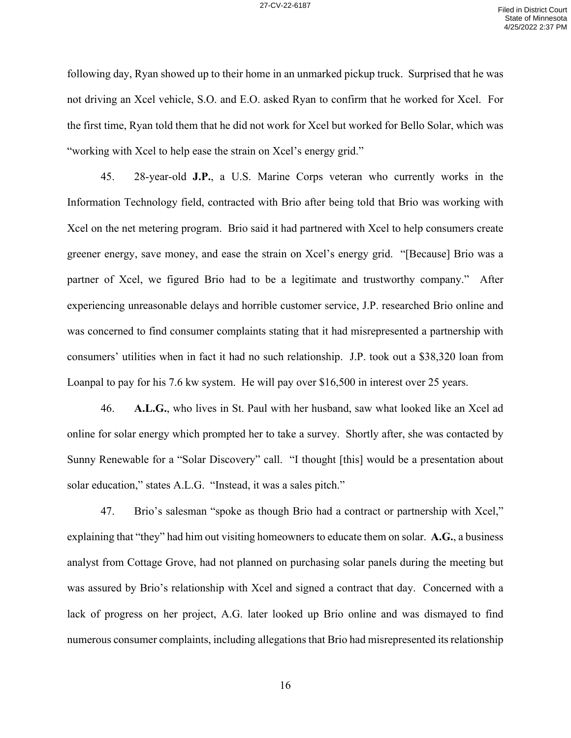following day, Ryan showed up to their home in an unmarked pickup truck. Surprised that he was not driving an Xcel vehicle, S.O. and E.O. asked Ryan to confirm that he worked for Xcel. For the first time, Ryan told them that he did not work for Xcel but worked for Bello Solar, which was "working with Xcel to help ease the strain on Xcel's energy grid."

45. 28-year-old **J.P.**, a U.S. Marine Corps veteran who currently works in the Information Technology field, contracted with Brio after being told that Brio was working with Xcel on the net metering program. Brio said it had partnered with Xcel to help consumers create greener energy, save money, and ease the strain on Xcel's energy grid. "[Because] Brio was a partner of Xcel, we figured Brio had to be a legitimate and trustworthy company." After experiencing unreasonable delays and horrible customer service, J.P. researched Brio online and was concerned to find consumer complaints stating that it had misrepresented a partnership with consumers' utilities when in fact it had no such relationship. J.P. took out a \$38,320 loan from Loanpal to pay for his 7.6 kw system. He will pay over \$16,500 in interest over 25 years.

46. **A.L.G.**, who lives in St. Paul with her husband, saw what looked like an Xcel ad online for solar energy which prompted her to take a survey. Shortly after, she was contacted by Sunny Renewable for a "Solar Discovery" call. "I thought [this] would be a presentation about solar education," states A.L.G. "Instead, it was a sales pitch."

47. Brio's salesman "spoke as though Brio had a contract or partnership with Xcel," explaining that "they" had him out visiting homeowners to educate them on solar. **A.G.**, a business analyst from Cottage Grove, had not planned on purchasing solar panels during the meeting but was assured by Brio's relationship with Xcel and signed a contract that day. Concerned with a lack of progress on her project, A.G. later looked up Brio online and was dismayed to find numerous consumer complaints, including allegations that Brio had misrepresented its relationship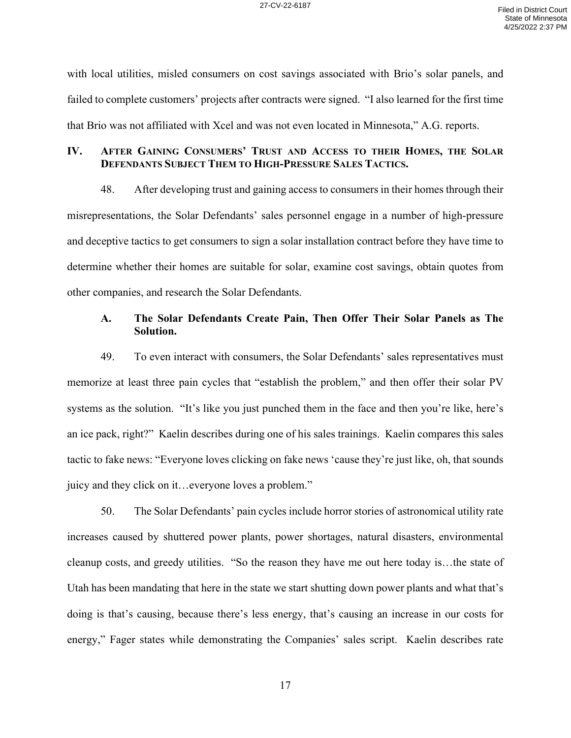with local utilities, misled consumers on cost savings associated with Brio's solar panels, and failed to complete customers' projects after contracts were signed. "I also learned for the first time that Brio was not affiliated with Xcel and was not even located in Minnesota," A.G. reports.

# **IV. AFTER GAINING CONSUMERS' TRUST AND ACCESS TO THEIR HOMES, THE SOLAR DEFENDANTS SUBJECT THEM TO HIGH-PRESSURE SALES TACTICS.**

48. After developing trust and gaining access to consumers in their homes through their misrepresentations, the Solar Defendants' sales personnel engage in a number of high-pressure and deceptive tactics to get consumers to sign a solar installation contract before they have time to determine whether their homes are suitable for solar, examine cost savings, obtain quotes from other companies, and research the Solar Defendants.

# **A. The Solar Defendants Create Pain, Then Offer Their Solar Panels as The Solution.**

49. To even interact with consumers, the Solar Defendants' sales representatives must memorize at least three pain cycles that "establish the problem," and then offer their solar PV systems as the solution. "It's like you just punched them in the face and then you're like, here's an ice pack, right?" Kaelin describes during one of his sales trainings. Kaelin compares this sales tactic to fake news: "Everyone loves clicking on fake news 'cause they're just like, oh, that sounds juicy and they click on it…everyone loves a problem."

50. The Solar Defendants' pain cycles include horror stories of astronomical utility rate increases caused by shuttered power plants, power shortages, natural disasters, environmental cleanup costs, and greedy utilities. "So the reason they have me out here today is…the state of Utah has been mandating that here in the state we start shutting down power plants and what that's doing is that's causing, because there's less energy, that's causing an increase in our costs for energy," Fager states while demonstrating the Companies' sales script. Kaelin describes rate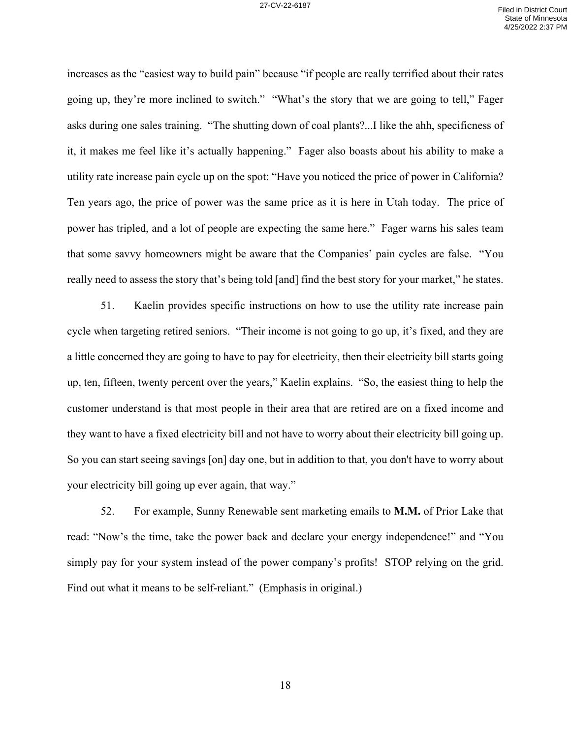increases as the "easiest way to build pain" because "if people are really terrified about their rates going up, they're more inclined to switch." "What's the story that we are going to tell," Fager asks during one sales training. "The shutting down of coal plants?...I like the ahh, specificness of it, it makes me feel like it's actually happening." Fager also boasts about his ability to make a utility rate increase pain cycle up on the spot: "Have you noticed the price of power in California? Ten years ago, the price of power was the same price as it is here in Utah today. The price of power has tripled, and a lot of people are expecting the same here." Fager warns his sales team that some savvy homeowners might be aware that the Companies' pain cycles are false. "You really need to assess the story that's being told [and] find the best story for your market," he states.

51. Kaelin provides specific instructions on how to use the utility rate increase pain cycle when targeting retired seniors. "Their income is not going to go up, it's fixed, and they are a little concerned they are going to have to pay for electricity, then their electricity bill starts going up, ten, fifteen, twenty percent over the years," Kaelin explains. "So, the easiest thing to help the customer understand is that most people in their area that are retired are on a fixed income and they want to have a fixed electricity bill and not have to worry about their electricity bill going up. So you can start seeing savings [on] day one, but in addition to that, you don't have to worry about your electricity bill going up ever again, that way."

52. For example, Sunny Renewable sent marketing emails to **M.M.** of Prior Lake that read: "Now's the time, take the power back and declare your energy independence!" and "You simply pay for your system instead of the power company's profits! STOP relying on the grid. Find out what it means to be self-reliant." (Emphasis in original.)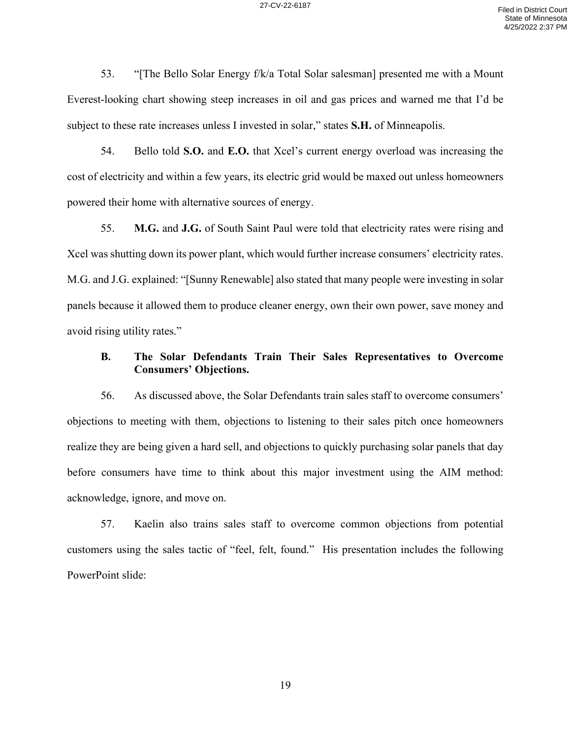53. "[The Bello Solar Energy f/k/a Total Solar salesman] presented me with a Mount Everest-looking chart showing steep increases in oil and gas prices and warned me that I'd be subject to these rate increases unless I invested in solar," states **S.H.** of Minneapolis.

54. Bello told **S.O.** and **E.O.** that Xcel's current energy overload was increasing the cost of electricity and within a few years, its electric grid would be maxed out unless homeowners powered their home with alternative sources of energy.

55. **M.G.** and **J.G.** of South Saint Paul were told that electricity rates were rising and Xcel was shutting down its power plant, which would further increase consumers' electricity rates. M.G. and J.G. explained: "[Sunny Renewable] also stated that many people were investing in solar panels because it allowed them to produce cleaner energy, own their own power, save money and avoid rising utility rates."

## **B. The Solar Defendants Train Their Sales Representatives to Overcome Consumers' Objections.**

56. As discussed above, the Solar Defendants train sales staff to overcome consumers' objections to meeting with them, objections to listening to their sales pitch once homeowners realize they are being given a hard sell, and objections to quickly purchasing solar panels that day before consumers have time to think about this major investment using the AIM method: acknowledge, ignore, and move on.

57. Kaelin also trains sales staff to overcome common objections from potential customers using the sales tactic of "feel, felt, found." His presentation includes the following PowerPoint slide: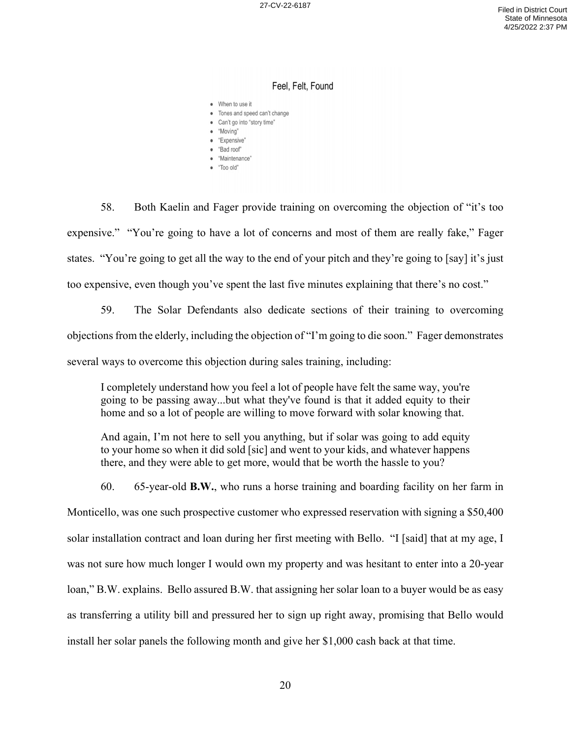#### Feel, Felt, Found

- When to use it
- Tones and speed can't change
- · Can't go into "story time"
- · "Moving"
- · "Expensive"
- · "Bad roof" · "Maintenance"
- · "Too old"

58. Both Kaelin and Fager provide training on overcoming the objection of "it's too expensive." "You're going to have a lot of concerns and most of them are really fake," Fager states. "You're going to get all the way to the end of your pitch and they're going to [say] it's just too expensive, even though you've spent the last five minutes explaining that there's no cost."

59. The Solar Defendants also dedicate sections of their training to overcoming objections from the elderly, including the objection of "I'm going to die soon." Fager demonstrates several ways to overcome this objection during sales training, including:

I completely understand how you feel a lot of people have felt the same way, you're going to be passing away...but what they've found is that it added equity to their home and so a lot of people are willing to move forward with solar knowing that.

And again, I'm not here to sell you anything, but if solar was going to add equity to your home so when it did sold [sic] and went to your kids, and whatever happens there, and they were able to get more, would that be worth the hassle to you?

60. 65-year-old **B.W.**, who runs a horse training and boarding facility on her farm in Monticello, was one such prospective customer who expressed reservation with signing a \$50,400 solar installation contract and loan during her first meeting with Bello. "I [said] that at my age, I was not sure how much longer I would own my property and was hesitant to enter into a 20-year loan," B.W. explains. Bello assured B.W. that assigning her solar loan to a buyer would be as easy as transferring a utility bill and pressured her to sign up right away, promising that Bello would install her solar panels the following month and give her \$1,000 cash back at that time.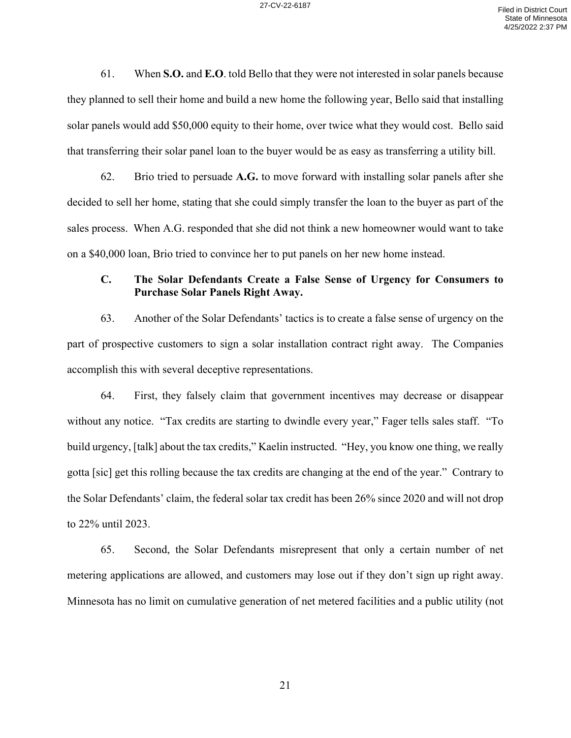61. When **S.O.** and **E.O**. told Bello that they were not interested in solar panels because they planned to sell their home and build a new home the following year, Bello said that installing solar panels would add \$50,000 equity to their home, over twice what they would cost. Bello said that transferring their solar panel loan to the buyer would be as easy as transferring a utility bill.

62. Brio tried to persuade **A.G.** to move forward with installing solar panels after she decided to sell her home, stating that she could simply transfer the loan to the buyer as part of the sales process. When A.G. responded that she did not think a new homeowner would want to take on a \$40,000 loan, Brio tried to convince her to put panels on her new home instead.

# **C. The Solar Defendants Create a False Sense of Urgency for Consumers to Purchase Solar Panels Right Away.**

63. Another of the Solar Defendants' tactics is to create a false sense of urgency on the part of prospective customers to sign a solar installation contract right away. The Companies accomplish this with several deceptive representations.

64. First, they falsely claim that government incentives may decrease or disappear without any notice. "Tax credits are starting to dwindle every year," Fager tells sales staff. "To build urgency, [talk] about the tax credits," Kaelin instructed. "Hey, you know one thing, we really gotta [sic] get this rolling because the tax credits are changing at the end of the year." Contrary to the Solar Defendants' claim, the federal solar tax credit has been 26% since 2020 and will not drop to 22% until 2023.

65. Second, the Solar Defendants misrepresent that only a certain number of net metering applications are allowed, and customers may lose out if they don't sign up right away. Minnesota has no limit on cumulative generation of net metered facilities and a public utility (not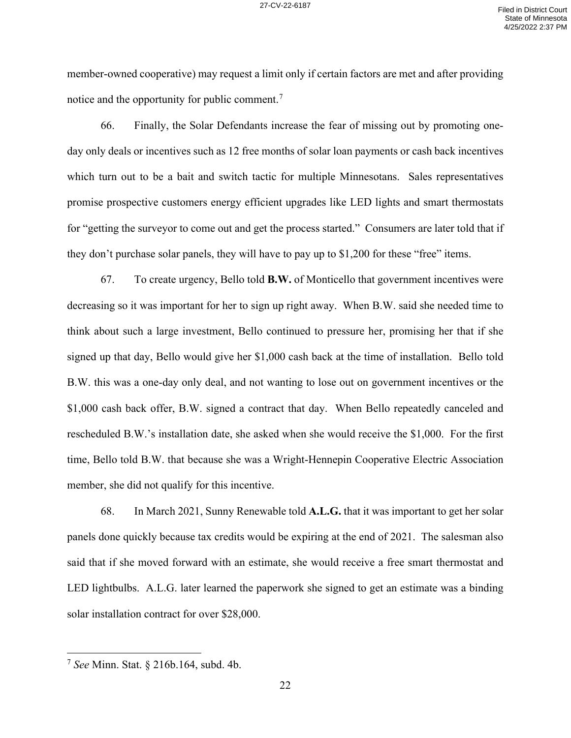member-owned cooperative) may request a limit only if certain factors are met and after providing notice and the opportunity for public comment.<sup>7</sup>

66. Finally, the Solar Defendants increase the fear of missing out by promoting oneday only deals or incentives such as 12 free months of solar loan payments or cash back incentives which turn out to be a bait and switch tactic for multiple Minnesotans. Sales representatives promise prospective customers energy efficient upgrades like LED lights and smart thermostats for "getting the surveyor to come out and get the process started." Consumers are later told that if they don't purchase solar panels, they will have to pay up to \$1,200 for these "free" items.

67. To create urgency, Bello told **B.W.** of Monticello that government incentives were decreasing so it was important for her to sign up right away. When B.W. said she needed time to think about such a large investment, Bello continued to pressure her, promising her that if she signed up that day, Bello would give her \$1,000 cash back at the time of installation. Bello told B.W. this was a one-day only deal, and not wanting to lose out on government incentives or the \$1,000 cash back offer, B.W. signed a contract that day. When Bello repeatedly canceled and rescheduled B.W.'s installation date, she asked when she would receive the \$1,000. For the first time, Bello told B.W. that because she was a Wright-Hennepin Cooperative Electric Association member, she did not qualify for this incentive.

68. In March 2021, Sunny Renewable told **A.L.G.** that it was important to get her solar panels done quickly because tax credits would be expiring at the end of 2021. The salesman also said that if she moved forward with an estimate, she would receive a free smart thermostat and LED lightbulbs. A.L.G. later learned the paperwork she signed to get an estimate was a binding solar installation contract for over \$28,000.

<sup>7</sup> *See* Minn. Stat. § 216b.164, subd. 4b.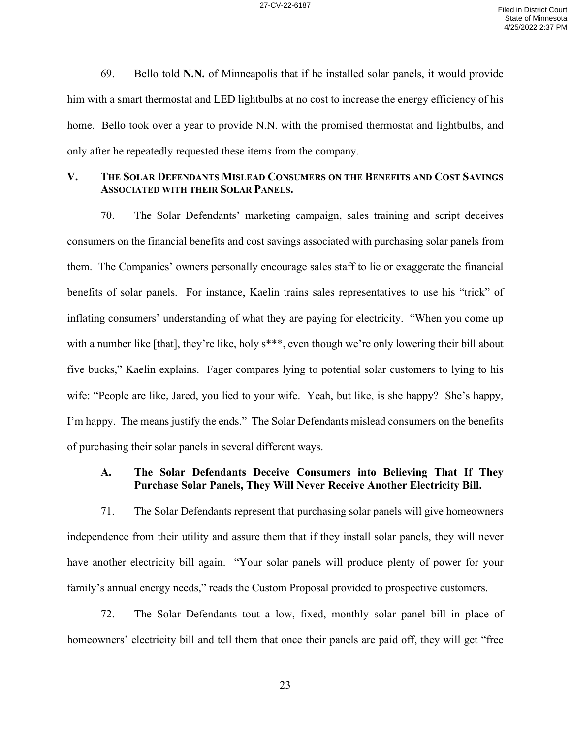69. Bello told **N.N.** of Minneapolis that if he installed solar panels, it would provide him with a smart thermostat and LED lightbulbs at no cost to increase the energy efficiency of his home. Bello took over a year to provide N.N. with the promised thermostat and lightbulbs, and only after he repeatedly requested these items from the company.

## **V. THE SOLAR DEFENDANTS MISLEAD CONSUMERS ON THE BENEFITS AND COST SAVINGS ASSOCIATED WITH THEIR SOLAR PANELS.**

70. The Solar Defendants' marketing campaign, sales training and script deceives consumers on the financial benefits and cost savings associated with purchasing solar panels from them. The Companies' owners personally encourage sales staff to lie or exaggerate the financial benefits of solar panels. For instance, Kaelin trains sales representatives to use his "trick" of inflating consumers' understanding of what they are paying for electricity. "When you come up with a number like [that], they're like, holy s\*\*\*, even though we're only lowering their bill about five bucks," Kaelin explains. Fager compares lying to potential solar customers to lying to his wife: "People are like, Jared, you lied to your wife. Yeah, but like, is she happy? She's happy, I'm happy. The means justify the ends." The Solar Defendants mislead consumers on the benefits of purchasing their solar panels in several different ways.

# **A. The Solar Defendants Deceive Consumers into Believing That If They Purchase Solar Panels, They Will Never Receive Another Electricity Bill.**

71. The Solar Defendants represent that purchasing solar panels will give homeowners independence from their utility and assure them that if they install solar panels, they will never have another electricity bill again. "Your solar panels will produce plenty of power for your family's annual energy needs," reads the Custom Proposal provided to prospective customers.

72. The Solar Defendants tout a low, fixed, monthly solar panel bill in place of homeowners' electricity bill and tell them that once their panels are paid off, they will get "free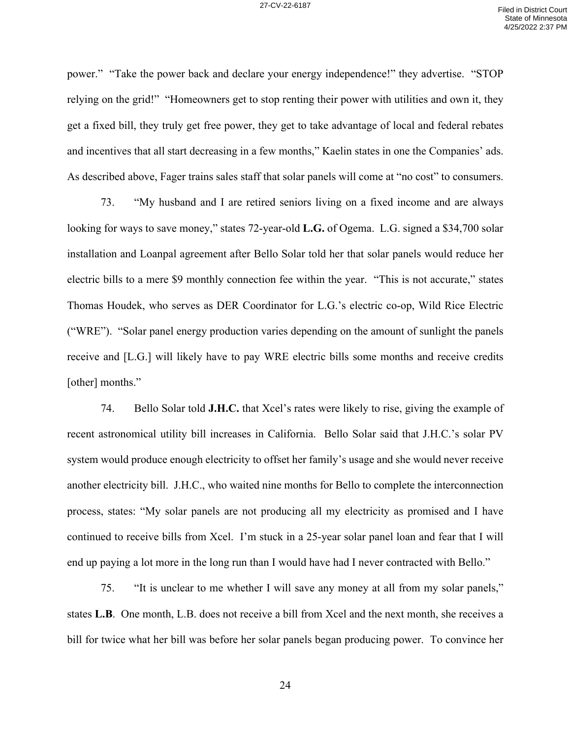power." "Take the power back and declare your energy independence!" they advertise. "STOP relying on the grid!" "Homeowners get to stop renting their power with utilities and own it, they get a fixed bill, they truly get free power, they get to take advantage of local and federal rebates and incentives that all start decreasing in a few months," Kaelin states in one the Companies' ads. As described above, Fager trains sales staff that solar panels will come at "no cost" to consumers.

73. "My husband and I are retired seniors living on a fixed income and are always looking for ways to save money," states 72-year-old **L.G.** of Ogema. L.G. signed a \$34,700 solar installation and Loanpal agreement after Bello Solar told her that solar panels would reduce her electric bills to a mere \$9 monthly connection fee within the year. "This is not accurate," states Thomas Houdek, who serves as DER Coordinator for L.G.'s electric co-op, Wild Rice Electric ("WRE"). "Solar panel energy production varies depending on the amount of sunlight the panels receive and [L.G.] will likely have to pay WRE electric bills some months and receive credits [other] months."

74. Bello Solar told **J.H.C.** that Xcel's rates were likely to rise, giving the example of recent astronomical utility bill increases in California. Bello Solar said that J.H.C.'s solar PV system would produce enough electricity to offset her family's usage and she would never receive another electricity bill. J.H.C., who waited nine months for Bello to complete the interconnection process, states: "My solar panels are not producing all my electricity as promised and I have continued to receive bills from Xcel. I'm stuck in a 25-year solar panel loan and fear that I will end up paying a lot more in the long run than I would have had I never contracted with Bello."

75. "It is unclear to me whether I will save any money at all from my solar panels," states **L.B**. One month, L.B. does not receive a bill from Xcel and the next month, she receives a bill for twice what her bill was before her solar panels began producing power. To convince her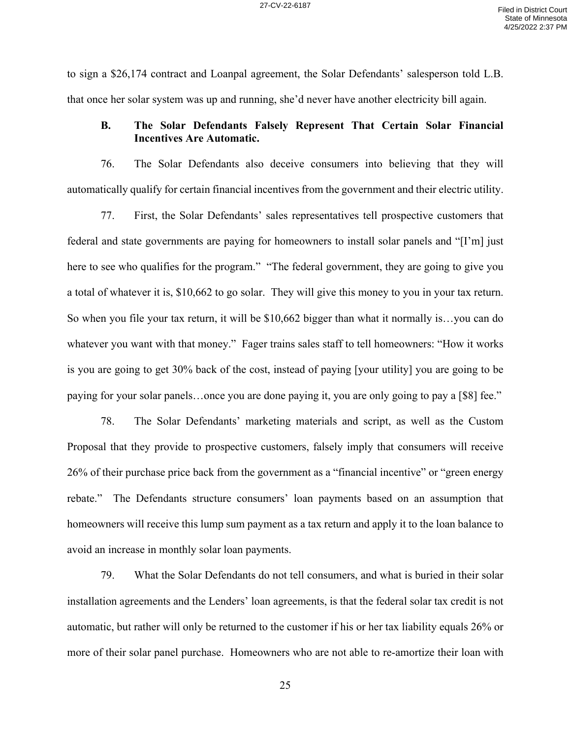to sign a \$26,174 contract and Loanpal agreement, the Solar Defendants' salesperson told L.B. that once her solar system was up and running, she'd never have another electricity bill again.

## **B. The Solar Defendants Falsely Represent That Certain Solar Financial Incentives Are Automatic.**

76. The Solar Defendants also deceive consumers into believing that they will automatically qualify for certain financial incentives from the government and their electric utility.

77. First, the Solar Defendants' sales representatives tell prospective customers that federal and state governments are paying for homeowners to install solar panels and "[I'm] just here to see who qualifies for the program." "The federal government, they are going to give you a total of whatever it is, \$10,662 to go solar. They will give this money to you in your tax return. So when you file your tax return, it will be \$10,662 bigger than what it normally is…you can do whatever you want with that money." Fager trains sales staff to tell homeowners: "How it works is you are going to get 30% back of the cost, instead of paying [your utility] you are going to be paying for your solar panels…once you are done paying it, you are only going to pay a [\$8] fee."

78. The Solar Defendants' marketing materials and script, as well as the Custom Proposal that they provide to prospective customers, falsely imply that consumers will receive 26% of their purchase price back from the government as a "financial incentive" or "green energy rebate." The Defendants structure consumers' loan payments based on an assumption that homeowners will receive this lump sum payment as a tax return and apply it to the loan balance to avoid an increase in monthly solar loan payments.

79. What the Solar Defendants do not tell consumers, and what is buried in their solar installation agreements and the Lenders' loan agreements, is that the federal solar tax credit is not automatic, but rather will only be returned to the customer if his or her tax liability equals 26% or more of their solar panel purchase. Homeowners who are not able to re-amortize their loan with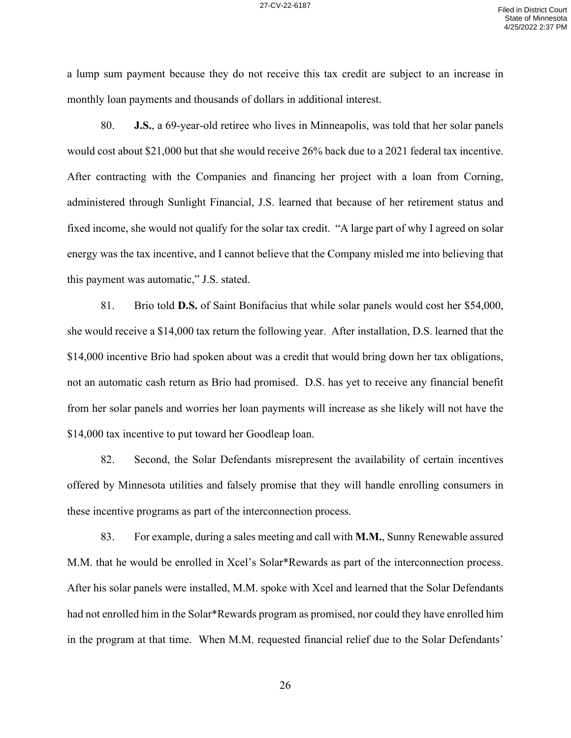a lump sum payment because they do not receive this tax credit are subject to an increase in monthly loan payments and thousands of dollars in additional interest.

80. **J.S.**, a 69-year-old retiree who lives in Minneapolis, was told that her solar panels would cost about \$21,000 but that she would receive 26% back due to a 2021 federal tax incentive. After contracting with the Companies and financing her project with a loan from Corning, administered through Sunlight Financial, J.S. learned that because of her retirement status and fixed income, she would not qualify for the solar tax credit. "A large part of why I agreed on solar energy was the tax incentive, and I cannot believe that the Company misled me into believing that this payment was automatic," J.S. stated.

81. Brio told **D.S.** of Saint Bonifacius that while solar panels would cost her \$54,000, she would receive a \$14,000 tax return the following year. After installation, D.S. learned that the \$14,000 incentive Brio had spoken about was a credit that would bring down her tax obligations, not an automatic cash return as Brio had promised. D.S. has yet to receive any financial benefit from her solar panels and worries her loan payments will increase as she likely will not have the \$14,000 tax incentive to put toward her Goodleap loan.

82. Second, the Solar Defendants misrepresent the availability of certain incentives offered by Minnesota utilities and falsely promise that they will handle enrolling consumers in these incentive programs as part of the interconnection process.

83. For example, during a sales meeting and call with **M.M.**, Sunny Renewable assured M.M. that he would be enrolled in Xcel's Solar\*Rewards as part of the interconnection process. After his solar panels were installed, M.M. spoke with Xcel and learned that the Solar Defendants had not enrolled him in the Solar\*Rewards program as promised, nor could they have enrolled him in the program at that time. When M.M. requested financial relief due to the Solar Defendants'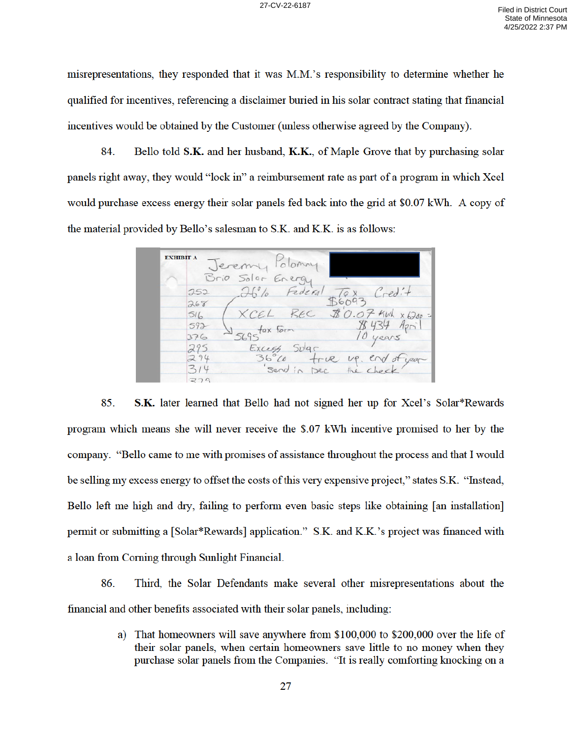misrepresentations, they responded that it was M.M.'s responsibility to determine whether he qualified for incentives, referencing a disclaimer buried in his solar contract stating that financial incentives would be obtained by the Customer (unless otherwise agreed by the Company).

84. Bello told S.K. and her husband, K.K., of Maple Grove that by purchasing solar panels right away, they would "lock in" a reimbursement rate as part of a program in which Xcel would purchase excess energy their solar panels fed back into the grid at \$0.07 kWh. A copy of the material provided by Bello's salesman to S.K. and K.K. is as follows:

EXHIBIT A Jeremy Polomn Brio Solor Energy  $\overline{16}$  x  $Cred$ :  $252$ 268  $$0.07$  Kuh x 6200  $516$  $592$  $\frac{1}{2}$ 376 Excess  $Sv|q_1$  $36°20$ true up.  $314$ Send in Dec  $379$ 

85. S.K. later learned that Bello had not signed her up for Xcel's Solar\*Rewards program which means she will never receive the \$.07 kWh incentive promised to her by the company. "Bello came to me with promises of assistance throughout the process and that I would be selling my excess energy to offset the costs of this very expensive project," states S.K. "Instead, Bello left me high and dry, failing to perform even basic steps like obtaining [an installation] permit or submitting a [Solar\*Rewards] application." S.K. and K.K.'s project was financed with a loan from Corning through Sunlight Financial.

86. Third, the Solar Defendants make several other misrepresentations about the financial and other benefits associated with their solar panels, including:

> a) That homeowners will save anywhere from \$100,000 to \$200,000 over the life of their solar panels, when certain homeowners save little to no money when they purchase solar panels from the Companies. "It is really comforting knocking on a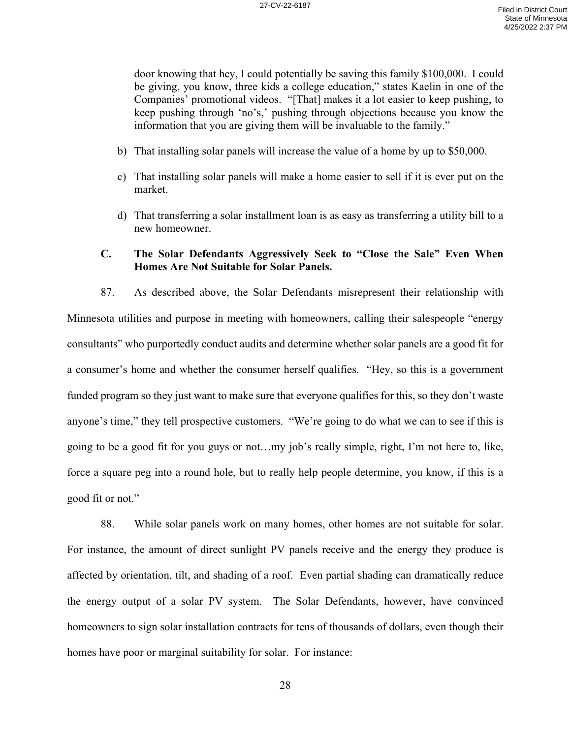door knowing that hey, I could potentially be saving this family \$100,000. I could be giving, you know, three kids a college education," states Kaelin in one of the Companies' promotional videos. "[That] makes it a lot easier to keep pushing, to keep pushing through 'no's,' pushing through objections because you know the information that you are giving them will be invaluable to the family."

- b) That installing solar panels will increase the value of a home by up to \$50,000.
- c) That installing solar panels will make a home easier to sell if it is ever put on the market.
- d) That transferring a solar installment loan is as easy as transferring a utility bill to a new homeowner.

## **C. The Solar Defendants Aggressively Seek to "Close the Sale" Even When Homes Are Not Suitable for Solar Panels.**

87. As described above, the Solar Defendants misrepresent their relationship with Minnesota utilities and purpose in meeting with homeowners, calling their salespeople "energy consultants" who purportedly conduct audits and determine whether solar panels are a good fit for a consumer's home and whether the consumer herself qualifies. "Hey, so this is a government funded program so they just want to make sure that everyone qualifies for this, so they don't waste anyone's time," they tell prospective customers. "We're going to do what we can to see if this is going to be a good fit for you guys or not…my job's really simple, right, I'm not here to, like, force a square peg into a round hole, but to really help people determine, you know, if this is a good fit or not."

88. While solar panels work on many homes, other homes are not suitable for solar. For instance, the amount of direct sunlight PV panels receive and the energy they produce is affected by orientation, tilt, and shading of a roof. Even partial shading can dramatically reduce the energy output of a solar PV system. The Solar Defendants, however, have convinced homeowners to sign solar installation contracts for tens of thousands of dollars, even though their homes have poor or marginal suitability for solar. For instance: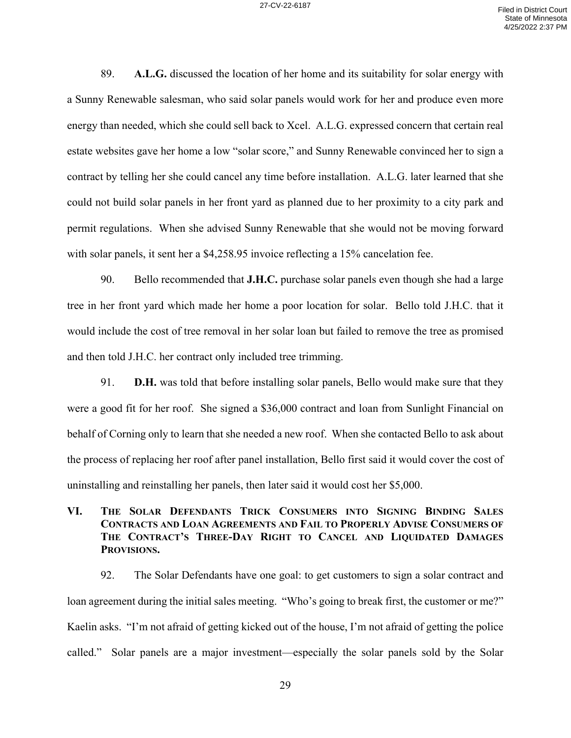89. **A.L.G.** discussed the location of her home and its suitability for solar energy with a Sunny Renewable salesman, who said solar panels would work for her and produce even more energy than needed, which she could sell back to Xcel. A.L.G. expressed concern that certain real estate websites gave her home a low "solar score," and Sunny Renewable convinced her to sign a contract by telling her she could cancel any time before installation. A.L.G. later learned that she could not build solar panels in her front yard as planned due to her proximity to a city park and permit regulations. When she advised Sunny Renewable that she would not be moving forward with solar panels, it sent her a \$4,258.95 invoice reflecting a 15% cancelation fee.

90. Bello recommended that **J.H.C.** purchase solar panels even though she had a large tree in her front yard which made her home a poor location for solar. Bello told J.H.C. that it would include the cost of tree removal in her solar loan but failed to remove the tree as promised and then told J.H.C. her contract only included tree trimming.

91. **D.H.** was told that before installing solar panels, Bello would make sure that they were a good fit for her roof. She signed a \$36,000 contract and loan from Sunlight Financial on behalf of Corning only to learn that she needed a new roof. When she contacted Bello to ask about the process of replacing her roof after panel installation, Bello first said it would cover the cost of uninstalling and reinstalling her panels, then later said it would cost her \$5,000.

# **VI. THE SOLAR DEFENDANTS TRICK CONSUMERS INTO SIGNING BINDING SALES CONTRACTS AND LOAN AGREEMENTS AND FAIL TO PROPERLY ADVISE CONSUMERS OF THE CONTRACT'S THREE-DAY RIGHT TO CANCEL AND LIQUIDATED DAMAGES PROVISIONS.**

92. The Solar Defendants have one goal: to get customers to sign a solar contract and loan agreement during the initial sales meeting. "Who's going to break first, the customer or me?" Kaelin asks. "I'm not afraid of getting kicked out of the house, I'm not afraid of getting the police called." Solar panels are a major investment—especially the solar panels sold by the Solar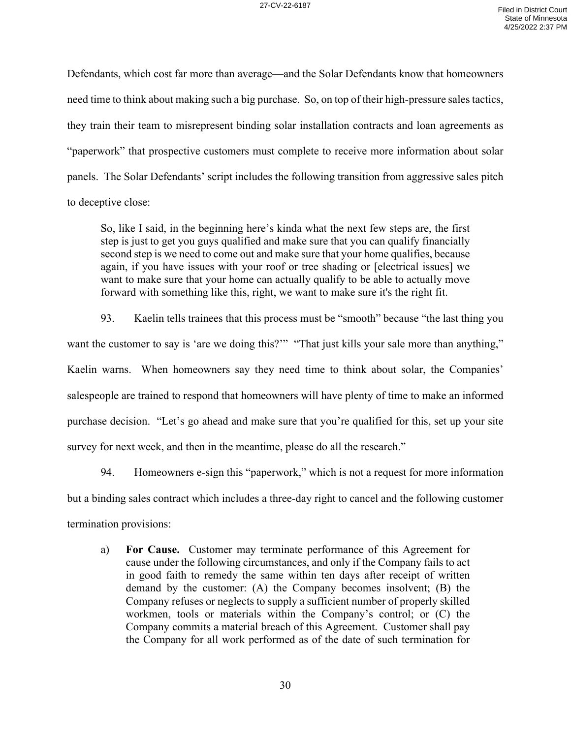Defendants, which cost far more than average—and the Solar Defendants know that homeowners need time to think about making such a big purchase. So, on top of their high-pressure sales tactics, they train their team to misrepresent binding solar installation contracts and loan agreements as "paperwork" that prospective customers must complete to receive more information about solar panels. The Solar Defendants' script includes the following transition from aggressive sales pitch to deceptive close:

So, like I said, in the beginning here's kinda what the next few steps are, the first step is just to get you guys qualified and make sure that you can qualify financially second step is we need to come out and make sure that your home qualifies, because again, if you have issues with your roof or tree shading or [electrical issues] we want to make sure that your home can actually qualify to be able to actually move forward with something like this, right, we want to make sure it's the right fit.

93. Kaelin tells trainees that this process must be "smooth" because "the last thing you want the customer to say is 'are we doing this?'" "That just kills your sale more than anything," Kaelin warns. When homeowners say they need time to think about solar, the Companies' salespeople are trained to respond that homeowners will have plenty of time to make an informed purchase decision. "Let's go ahead and make sure that you're qualified for this, set up your site survey for next week, and then in the meantime, please do all the research."

94. Homeowners e-sign this "paperwork," which is not a request for more information but a binding sales contract which includes a three-day right to cancel and the following customer termination provisions:

a) **For Cause.** Customer may terminate performance of this Agreement for cause under the following circumstances, and only if the Company fails to act in good faith to remedy the same within ten days after receipt of written demand by the customer: (A) the Company becomes insolvent; (B) the Company refuses or neglects to supply a sufficient number of properly skilled workmen, tools or materials within the Company's control; or (C) the Company commits a material breach of this Agreement. Customer shall pay the Company for all work performed as of the date of such termination for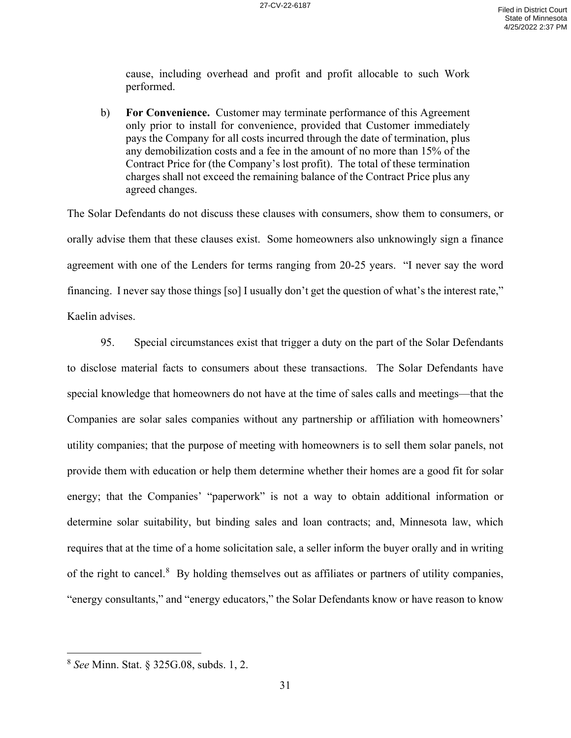cause, including overhead and profit and profit allocable to such Work performed.

b) **For Convenience.** Customer may terminate performance of this Agreement only prior to install for convenience, provided that Customer immediately pays the Company for all costs incurred through the date of termination, plus any demobilization costs and a fee in the amount of no more than 15% of the Contract Price for (the Company's lost profit). The total of these termination charges shall not exceed the remaining balance of the Contract Price plus any agreed changes.

The Solar Defendants do not discuss these clauses with consumers, show them to consumers, or orally advise them that these clauses exist. Some homeowners also unknowingly sign a finance agreement with one of the Lenders for terms ranging from 20-25 years. "I never say the word financing. I never say those things [so] I usually don't get the question of what's the interest rate," Kaelin advises.

95. Special circumstances exist that trigger a duty on the part of the Solar Defendants to disclose material facts to consumers about these transactions. The Solar Defendants have special knowledge that homeowners do not have at the time of sales calls and meetings—that the Companies are solar sales companies without any partnership or affiliation with homeowners' utility companies; that the purpose of meeting with homeowners is to sell them solar panels, not provide them with education or help them determine whether their homes are a good fit for solar energy; that the Companies' "paperwork" is not a way to obtain additional information or determine solar suitability, but binding sales and loan contracts; and, Minnesota law, which requires that at the time of a home solicitation sale, a seller inform the buyer orally and in writing of the right to cancel.<sup>8</sup> By holding themselves out as affiliates or partners of utility companies, "energy consultants," and "energy educators," the Solar Defendants know or have reason to know

<sup>8</sup> *See* Minn. Stat. § 325G.08, subds. 1, 2.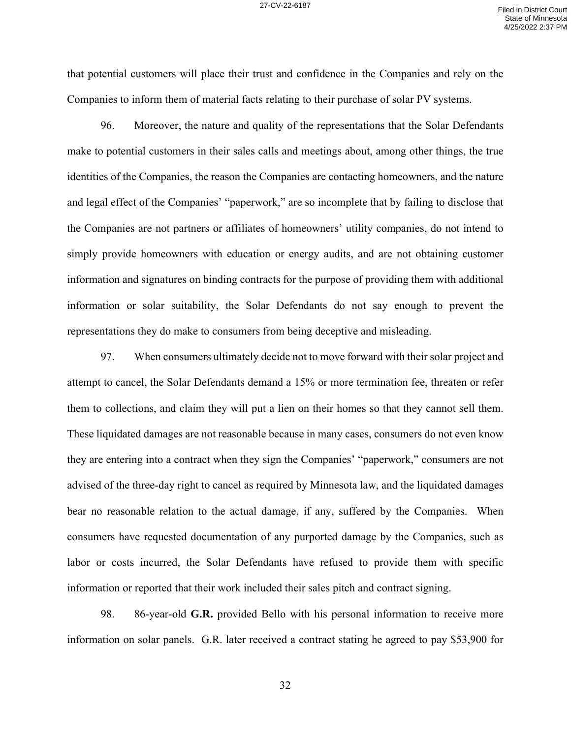that potential customers will place their trust and confidence in the Companies and rely on the Companies to inform them of material facts relating to their purchase of solar PV systems.

96. Moreover, the nature and quality of the representations that the Solar Defendants make to potential customers in their sales calls and meetings about, among other things, the true identities of the Companies, the reason the Companies are contacting homeowners, and the nature and legal effect of the Companies' "paperwork," are so incomplete that by failing to disclose that the Companies are not partners or affiliates of homeowners' utility companies, do not intend to simply provide homeowners with education or energy audits, and are not obtaining customer information and signatures on binding contracts for the purpose of providing them with additional information or solar suitability, the Solar Defendants do not say enough to prevent the representations they do make to consumers from being deceptive and misleading.

97. When consumers ultimately decide not to move forward with their solar project and attempt to cancel, the Solar Defendants demand a 15% or more termination fee, threaten or refer them to collections, and claim they will put a lien on their homes so that they cannot sell them. These liquidated damages are not reasonable because in many cases, consumers do not even know they are entering into a contract when they sign the Companies' "paperwork," consumers are not advised of the three-day right to cancel as required by Minnesota law, and the liquidated damages bear no reasonable relation to the actual damage, if any, suffered by the Companies. When consumers have requested documentation of any purported damage by the Companies, such as labor or costs incurred, the Solar Defendants have refused to provide them with specific information or reported that their work included their sales pitch and contract signing.

98. 86-year-old **G.R.** provided Bello with his personal information to receive more information on solar panels. G.R. later received a contract stating he agreed to pay \$53,900 for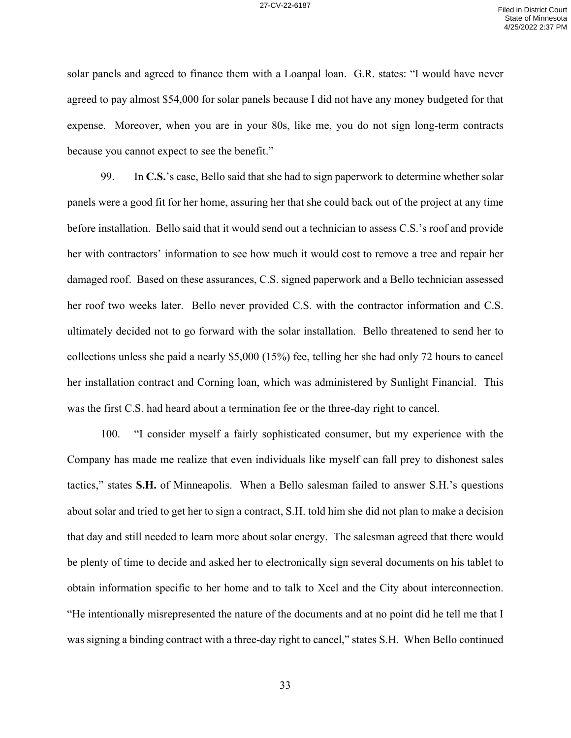solar panels and agreed to finance them with a Loanpal loan. G.R. states: "I would have never agreed to pay almost \$54,000 for solar panels because I did not have any money budgeted for that expense. Moreover, when you are in your 80s, like me, you do not sign long-term contracts because you cannot expect to see the benefit."

99. In **C.S.**'s case, Bello said that she had to sign paperwork to determine whether solar panels were a good fit for her home, assuring her that she could back out of the project at any time before installation. Bello said that it would send out a technician to assess C.S.'s roof and provide her with contractors' information to see how much it would cost to remove a tree and repair her damaged roof. Based on these assurances, C.S. signed paperwork and a Bello technician assessed her roof two weeks later. Bello never provided C.S. with the contractor information and C.S. ultimately decided not to go forward with the solar installation. Bello threatened to send her to collections unless she paid a nearly \$5,000 (15%) fee, telling her she had only 72 hours to cancel her installation contract and Corning loan, which was administered by Sunlight Financial. This was the first C.S. had heard about a termination fee or the three-day right to cancel.

100. "I consider myself a fairly sophisticated consumer, but my experience with the Company has made me realize that even individuals like myself can fall prey to dishonest sales tactics," states **S.H.** of Minneapolis. When a Bello salesman failed to answer S.H.'s questions about solar and tried to get her to sign a contract, S.H. told him she did not plan to make a decision that day and still needed to learn more about solar energy. The salesman agreed that there would be plenty of time to decide and asked her to electronically sign several documents on his tablet to obtain information specific to her home and to talk to Xcel and the City about interconnection. "He intentionally misrepresented the nature of the documents and at no point did he tell me that I was signing a binding contract with a three-day right to cancel," states S.H. When Bello continued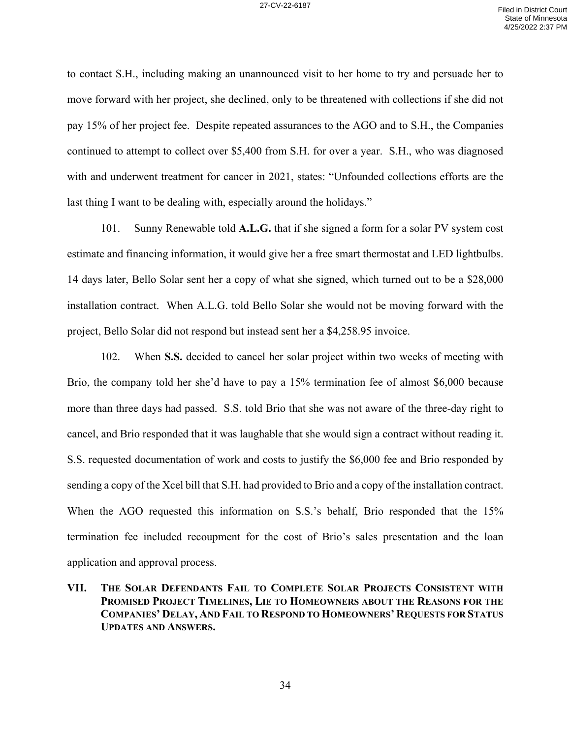to contact S.H., including making an unannounced visit to her home to try and persuade her to move forward with her project, she declined, only to be threatened with collections if she did not pay 15% of her project fee. Despite repeated assurances to the AGO and to S.H., the Companies continued to attempt to collect over \$5,400 from S.H. for over a year. S.H., who was diagnosed with and underwent treatment for cancer in 2021, states: "Unfounded collections efforts are the last thing I want to be dealing with, especially around the holidays."

101. Sunny Renewable told **A.L.G.** that if she signed a form for a solar PV system cost estimate and financing information, it would give her a free smart thermostat and LED lightbulbs. 14 days later, Bello Solar sent her a copy of what she signed, which turned out to be a \$28,000 installation contract. When A.L.G. told Bello Solar she would not be moving forward with the project, Bello Solar did not respond but instead sent her a \$4,258.95 invoice.

102. When **S.S.** decided to cancel her solar project within two weeks of meeting with Brio, the company told her she'd have to pay a 15% termination fee of almost \$6,000 because more than three days had passed. S.S. told Brio that she was not aware of the three-day right to cancel, and Brio responded that it was laughable that she would sign a contract without reading it. S.S. requested documentation of work and costs to justify the \$6,000 fee and Brio responded by sending a copy of the Xcel bill that S.H. had provided to Brio and a copy of the installation contract. When the AGO requested this information on S.S.'s behalf, Brio responded that the 15% termination fee included recoupment for the cost of Brio's sales presentation and the loan application and approval process.

**VII. THE SOLAR DEFENDANTS FAIL TO COMPLETE SOLAR PROJECTS CONSISTENT WITH PROMISED PROJECT TIMELINES, LIE TO HOMEOWNERS ABOUT THE REASONS FOR THE COMPANIES' DELAY, AND FAIL TO RESPOND TO HOMEOWNERS' REQUESTS FOR STATUS UPDATES AND ANSWERS.**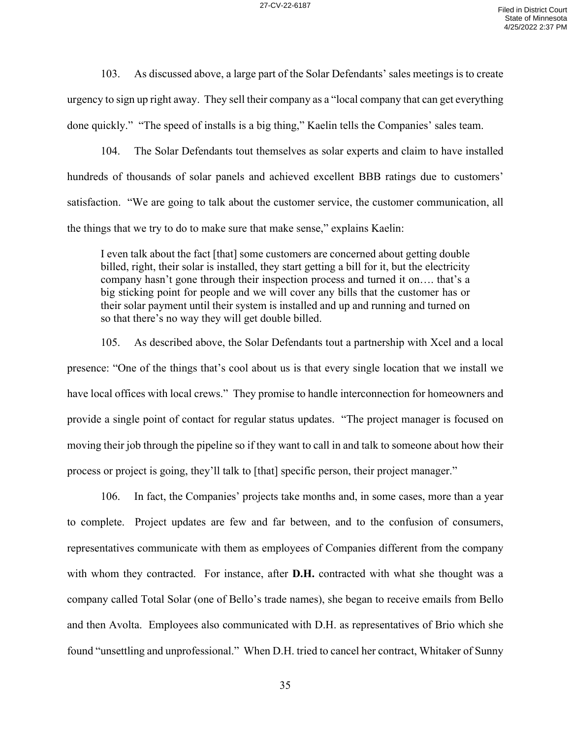103. As discussed above, a large part of the Solar Defendants' sales meetings is to create urgency to sign up right away. They sell their company as a "local company that can get everything done quickly." "The speed of installs is a big thing," Kaelin tells the Companies' sales team.

104. The Solar Defendants tout themselves as solar experts and claim to have installed hundreds of thousands of solar panels and achieved excellent BBB ratings due to customers' satisfaction. "We are going to talk about the customer service, the customer communication, all the things that we try to do to make sure that make sense," explains Kaelin:

I even talk about the fact [that] some customers are concerned about getting double billed, right, their solar is installed, they start getting a bill for it, but the electricity company hasn't gone through their inspection process and turned it on…. that's a big sticking point for people and we will cover any bills that the customer has or their solar payment until their system is installed and up and running and turned on so that there's no way they will get double billed.

105. As described above, the Solar Defendants tout a partnership with Xcel and a local presence: "One of the things that's cool about us is that every single location that we install we have local offices with local crews." They promise to handle interconnection for homeowners and provide a single point of contact for regular status updates. "The project manager is focused on moving their job through the pipeline so if they want to call in and talk to someone about how their process or project is going, they'll talk to [that] specific person, their project manager."

106. In fact, the Companies' projects take months and, in some cases, more than a year to complete. Project updates are few and far between, and to the confusion of consumers, representatives communicate with them as employees of Companies different from the company with whom they contracted. For instance, after **D.H.** contracted with what she thought was a company called Total Solar (one of Bello's trade names), she began to receive emails from Bello and then Avolta. Employees also communicated with D.H. as representatives of Brio which she found "unsettling and unprofessional." When D.H. tried to cancel her contract, Whitaker of Sunny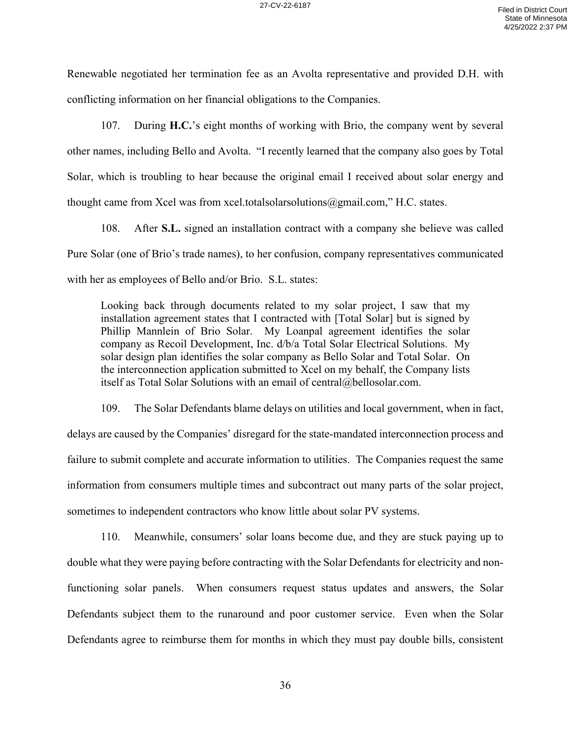Renewable negotiated her termination fee as an Avolta representative and provided D.H. with conflicting information on her financial obligations to the Companies.

107. During **H.C.**'s eight months of working with Brio, the company went by several other names, including Bello and Avolta. "I recently learned that the company also goes by Total Solar, which is troubling to hear because the original email I received about solar energy and thought came from Xcel was from xcel.totalsolarsolutions@gmail.com," H.C. states.

108. After **S.L.** signed an installation contract with a company she believe was called Pure Solar (one of Brio's trade names), to her confusion, company representatives communicated with her as employees of Bello and/or Brio. S.L. states:

Looking back through documents related to my solar project, I saw that my installation agreement states that I contracted with [Total Solar] but is signed by Phillip Mannlein of Brio Solar. My Loanpal agreement identifies the solar company as Recoil Development, Inc. d/b/a Total Solar Electrical Solutions. My solar design plan identifies the solar company as Bello Solar and Total Solar. On the interconnection application submitted to Xcel on my behalf, the Company lists itself as Total Solar Solutions with an email of central@bellosolar.com.

109. The Solar Defendants blame delays on utilities and local government, when in fact, delays are caused by the Companies' disregard for the state-mandated interconnection process and failure to submit complete and accurate information to utilities. The Companies request the same information from consumers multiple times and subcontract out many parts of the solar project, sometimes to independent contractors who know little about solar PV systems.

110. Meanwhile, consumers' solar loans become due, and they are stuck paying up to double what they were paying before contracting with the Solar Defendants for electricity and nonfunctioning solar panels. When consumers request status updates and answers, the Solar Defendants subject them to the runaround and poor customer service. Even when the Solar Defendants agree to reimburse them for months in which they must pay double bills, consistent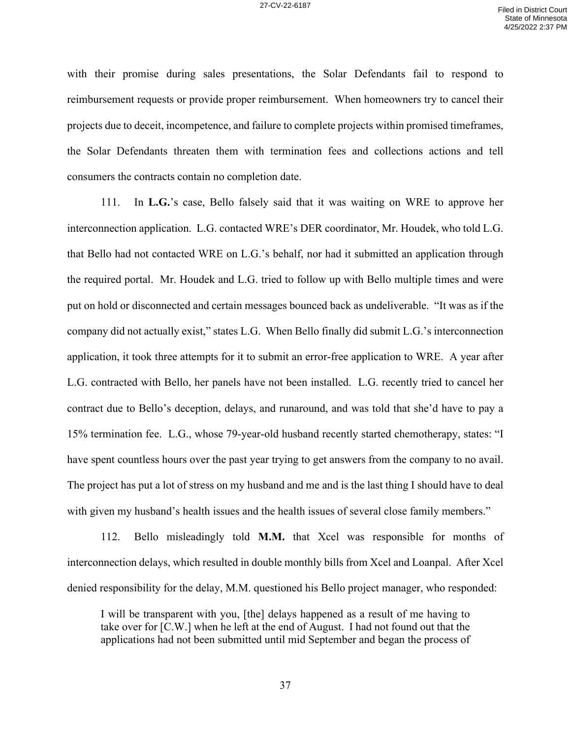with their promise during sales presentations, the Solar Defendants fail to respond to reimbursement requests or provide proper reimbursement. When homeowners try to cancel their projects due to deceit, incompetence, and failure to complete projects within promised timeframes, the Solar Defendants threaten them with termination fees and collections actions and tell consumers the contracts contain no completion date.

111. In **L.G.**'s case, Bello falsely said that it was waiting on WRE to approve her interconnection application. L.G. contacted WRE's DER coordinator, Mr. Houdek, who told L.G. that Bello had not contacted WRE on L.G.'s behalf, nor had it submitted an application through the required portal. Mr. Houdek and L.G. tried to follow up with Bello multiple times and were put on hold or disconnected and certain messages bounced back as undeliverable. "It was as if the company did not actually exist," states L.G. When Bello finally did submit L.G.'s interconnection application, it took three attempts for it to submit an error-free application to WRE. A year after L.G. contracted with Bello, her panels have not been installed. L.G. recently tried to cancel her contract due to Bello's deception, delays, and runaround, and was told that she'd have to pay a 15% termination fee. L.G., whose 79-year-old husband recently started chemotherapy, states: "I have spent countless hours over the past year trying to get answers from the company to no avail. The project has put a lot of stress on my husband and me and is the last thing I should have to deal with given my husband's health issues and the health issues of several close family members."

112. Bello misleadingly told **M.M.** that Xcel was responsible for months of interconnection delays, which resulted in double monthly bills from Xcel and Loanpal. After Xcel denied responsibility for the delay, M.M. questioned his Bello project manager, who responded:

I will be transparent with you, [the] delays happened as a result of me having to take over for [C.W.] when he left at the end of August. I had not found out that the applications had not been submitted until mid September and began the process of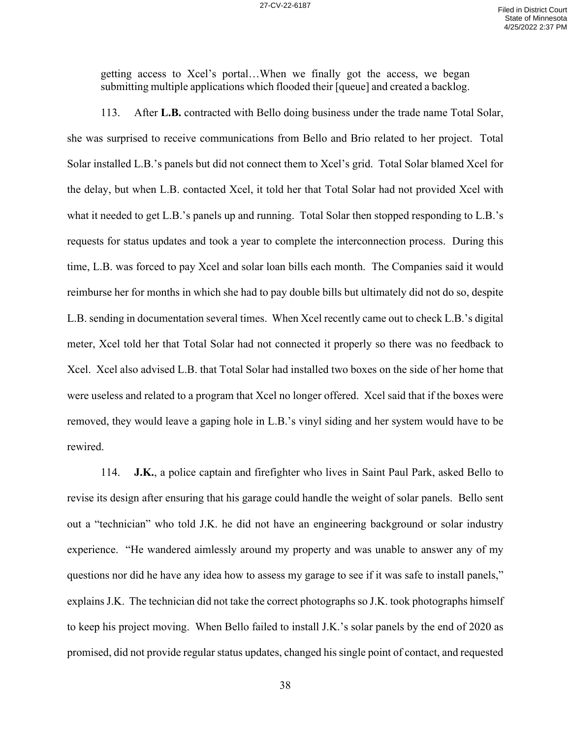getting access to Xcel's portal…When we finally got the access, we began submitting multiple applications which flooded their [queue] and created a backlog.

113. After **L.B.** contracted with Bello doing business under the trade name Total Solar, she was surprised to receive communications from Bello and Brio related to her project. Total Solar installed L.B.'s panels but did not connect them to Xcel's grid. Total Solar blamed Xcel for the delay, but when L.B. contacted Xcel, it told her that Total Solar had not provided Xcel with what it needed to get L.B.'s panels up and running. Total Solar then stopped responding to L.B.'s requests for status updates and took a year to complete the interconnection process. During this time, L.B. was forced to pay Xcel and solar loan bills each month. The Companies said it would reimburse her for months in which she had to pay double bills but ultimately did not do so, despite L.B. sending in documentation several times. When Xcel recently came out to check L.B.'s digital meter, Xcel told her that Total Solar had not connected it properly so there was no feedback to Xcel. Xcel also advised L.B. that Total Solar had installed two boxes on the side of her home that were useless and related to a program that Xcel no longer offered. Xcel said that if the boxes were removed, they would leave a gaping hole in L.B.'s vinyl siding and her system would have to be rewired.

114. **J.K.**, a police captain and firefighter who lives in Saint Paul Park, asked Bello to revise its design after ensuring that his garage could handle the weight of solar panels. Bello sent out a "technician" who told J.K. he did not have an engineering background or solar industry experience. "He wandered aimlessly around my property and was unable to answer any of my questions nor did he have any idea how to assess my garage to see if it was safe to install panels," explains J.K. The technician did not take the correct photographs so J.K. took photographs himself to keep his project moving. When Bello failed to install J.K.'s solar panels by the end of 2020 as promised, did not provide regular status updates, changed his single point of contact, and requested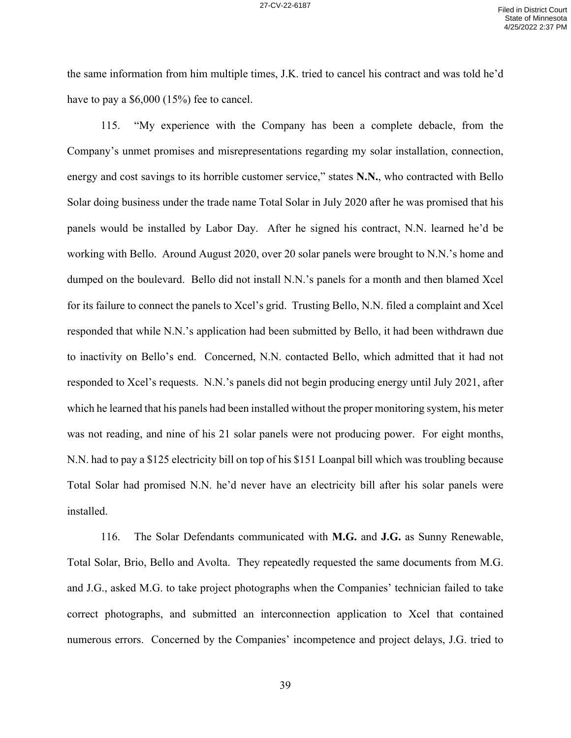the same information from him multiple times, J.K. tried to cancel his contract and was told he'd have to pay a \$6,000 (15%) fee to cancel.

115. "My experience with the Company has been a complete debacle, from the Company's unmet promises and misrepresentations regarding my solar installation, connection, energy and cost savings to its horrible customer service," states **N.N.**, who contracted with Bello Solar doing business under the trade name Total Solar in July 2020 after he was promised that his panels would be installed by Labor Day. After he signed his contract, N.N. learned he'd be working with Bello. Around August 2020, over 20 solar panels were brought to N.N.'s home and dumped on the boulevard. Bello did not install N.N.'s panels for a month and then blamed Xcel for its failure to connect the panels to Xcel's grid. Trusting Bello, N.N. filed a complaint and Xcel responded that while N.N.'s application had been submitted by Bello, it had been withdrawn due to inactivity on Bello's end. Concerned, N.N. contacted Bello, which admitted that it had not responded to Xcel's requests. N.N.'s panels did not begin producing energy until July 2021, after which he learned that his panels had been installed without the proper monitoring system, his meter was not reading, and nine of his 21 solar panels were not producing power. For eight months, N.N. had to pay a \$125 electricity bill on top of his \$151 Loanpal bill which was troubling because Total Solar had promised N.N. he'd never have an electricity bill after his solar panels were installed.

116. The Solar Defendants communicated with **M.G.** and **J.G.** as Sunny Renewable, Total Solar, Brio, Bello and Avolta. They repeatedly requested the same documents from M.G. and J.G., asked M.G. to take project photographs when the Companies' technician failed to take correct photographs, and submitted an interconnection application to Xcel that contained numerous errors. Concerned by the Companies' incompetence and project delays, J.G. tried to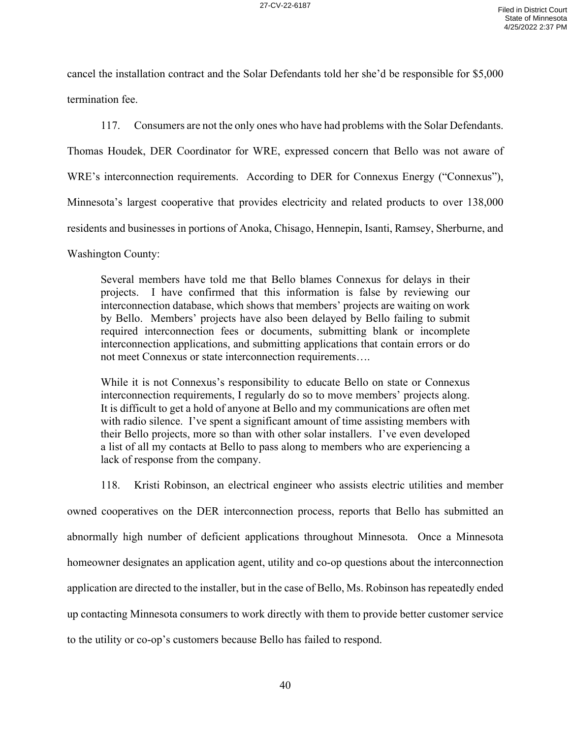cancel the installation contract and the Solar Defendants told her she'd be responsible for \$5,000 termination fee.

117. Consumers are not the only ones who have had problems with the Solar Defendants.

Thomas Houdek, DER Coordinator for WRE, expressed concern that Bello was not aware of

WRE's interconnection requirements. According to DER for Connexus Energy ("Connexus"),

Minnesota's largest cooperative that provides electricity and related products to over 138,000

residents and businesses in portions of Anoka, Chisago, Hennepin, Isanti, Ramsey, Sherburne, and

Washington County:

Several members have told me that Bello blames Connexus for delays in their projects. I have confirmed that this information is false by reviewing our interconnection database, which shows that members' projects are waiting on work by Bello. Members' projects have also been delayed by Bello failing to submit required interconnection fees or documents, submitting blank or incomplete interconnection applications, and submitting applications that contain errors or do not meet Connexus or state interconnection requirements….

While it is not Connexus's responsibility to educate Bello on state or Connexus interconnection requirements, I regularly do so to move members' projects along. It is difficult to get a hold of anyone at Bello and my communications are often met with radio silence. I've spent a significant amount of time assisting members with their Bello projects, more so than with other solar installers. I've even developed a list of all my contacts at Bello to pass along to members who are experiencing a lack of response from the company.

118. Kristi Robinson, an electrical engineer who assists electric utilities and member owned cooperatives on the DER interconnection process, reports that Bello has submitted an abnormally high number of deficient applications throughout Minnesota. Once a Minnesota homeowner designates an application agent, utility and co-op questions about the interconnection application are directed to the installer, but in the case of Bello, Ms. Robinson has repeatedly ended up contacting Minnesota consumers to work directly with them to provide better customer service to the utility or co-op's customers because Bello has failed to respond.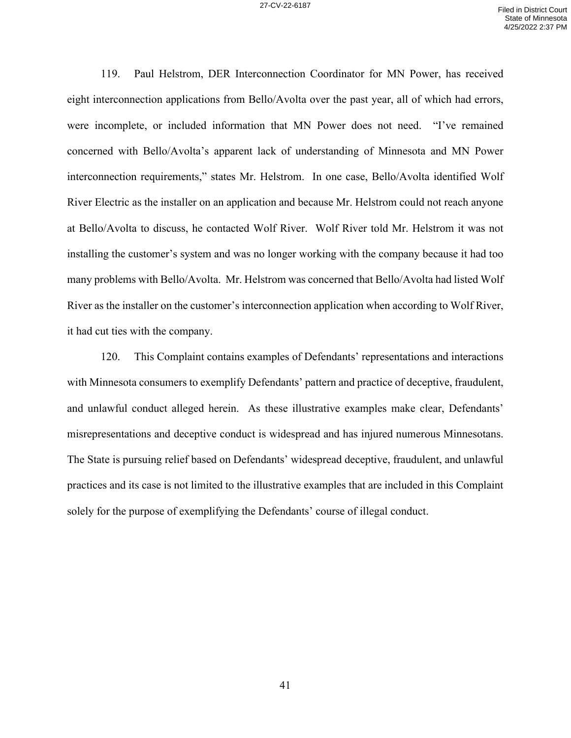119. Paul Helstrom, DER Interconnection Coordinator for MN Power, has received eight interconnection applications from Bello/Avolta over the past year, all of which had errors, were incomplete, or included information that MN Power does not need. "I've remained concerned with Bello/Avolta's apparent lack of understanding of Minnesota and MN Power interconnection requirements," states Mr. Helstrom. In one case, Bello/Avolta identified Wolf River Electric as the installer on an application and because Mr. Helstrom could not reach anyone at Bello/Avolta to discuss, he contacted Wolf River. Wolf River told Mr. Helstrom it was not installing the customer's system and was no longer working with the company because it had too many problems with Bello/Avolta. Mr. Helstrom was concerned that Bello/Avolta had listed Wolf River as the installer on the customer's interconnection application when according to Wolf River, it had cut ties with the company.

120. This Complaint contains examples of Defendants' representations and interactions with Minnesota consumers to exemplify Defendants' pattern and practice of deceptive, fraudulent, and unlawful conduct alleged herein. As these illustrative examples make clear, Defendants' misrepresentations and deceptive conduct is widespread and has injured numerous Minnesotans. The State is pursuing relief based on Defendants' widespread deceptive, fraudulent, and unlawful practices and its case is not limited to the illustrative examples that are included in this Complaint solely for the purpose of exemplifying the Defendants' course of illegal conduct.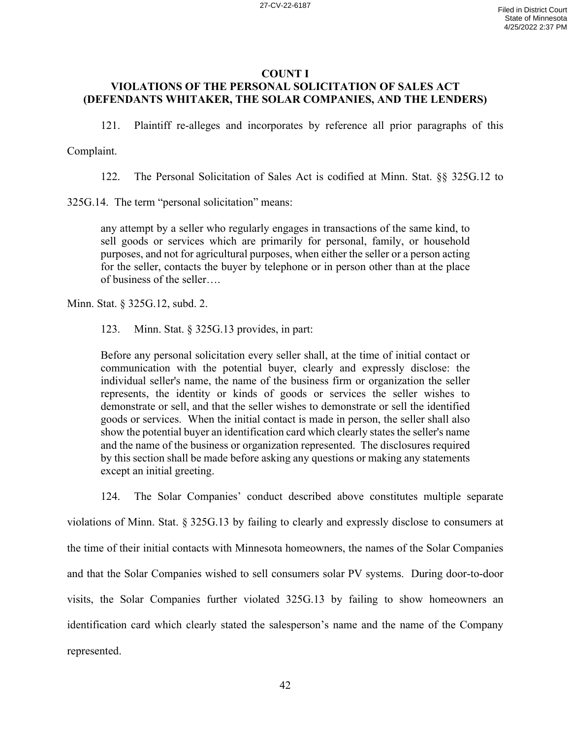## **COUNT I VIOLATIONS OF THE PERSONAL SOLICITATION OF SALES ACT (DEFENDANTS WHITAKER, THE SOLAR COMPANIES, AND THE LENDERS)**

121. Plaintiff re-alleges and incorporates by reference all prior paragraphs of this

Complaint.

122. The Personal Solicitation of Sales Act is codified at Minn. Stat. §§ 325G.12 to

325G.14. The term "personal solicitation" means:

any attempt by a seller who regularly engages in transactions of the same kind, to sell goods or services which are primarily for personal, family, or household purposes, and not for agricultural purposes, when either the seller or a person acting for the seller, contacts the buyer by telephone or in person other than at the place of business of the seller….

Minn. Stat. § 325G.12, subd. 2.

123. Minn. Stat. § 325G.13 provides, in part:

Before any personal solicitation every seller shall, at the time of initial contact or communication with the potential buyer, clearly and expressly disclose: the individual seller's name, the name of the business firm or organization the seller represents, the identity or kinds of goods or services the seller wishes to demonstrate or sell, and that the seller wishes to demonstrate or sell the identified goods or services. When the initial contact is made in person, the seller shall also show the potential buyer an identification card which clearly states the seller's name and the name of the business or organization represented. The disclosures required by this section shall be made before asking any questions or making any statements except an initial greeting.

124. The Solar Companies' conduct described above constitutes multiple separate violations of Minn. Stat. § 325G.13 by failing to clearly and expressly disclose to consumers at the time of their initial contacts with Minnesota homeowners, the names of the Solar Companies and that the Solar Companies wished to sell consumers solar PV systems. During door-to-door visits, the Solar Companies further violated 325G.13 by failing to show homeowners an identification card which clearly stated the salesperson's name and the name of the Company represented.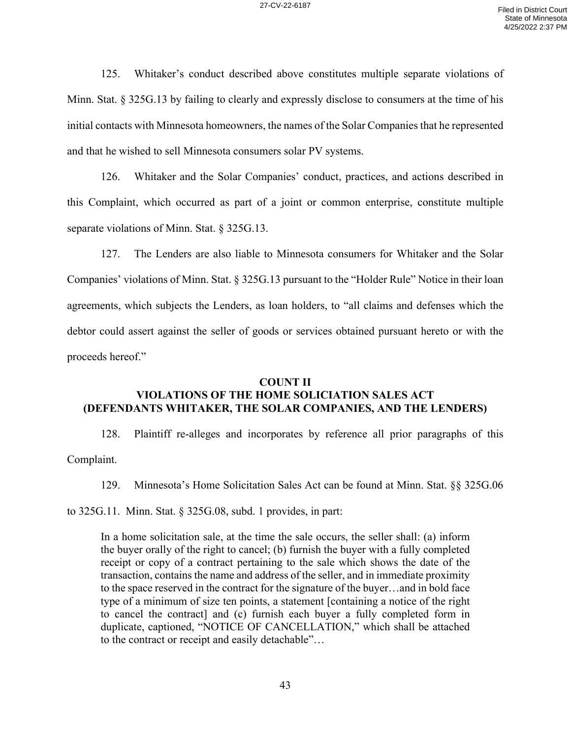125. Whitaker's conduct described above constitutes multiple separate violations of Minn. Stat. § 325G.13 by failing to clearly and expressly disclose to consumers at the time of his initial contacts with Minnesota homeowners, the names of the Solar Companies that he represented and that he wished to sell Minnesota consumers solar PV systems.

126. Whitaker and the Solar Companies' conduct, practices, and actions described in this Complaint, which occurred as part of a joint or common enterprise, constitute multiple separate violations of Minn. Stat. § 325G.13.

127. The Lenders are also liable to Minnesota consumers for Whitaker and the Solar Companies' violations of Minn. Stat. § 325G.13 pursuant to the "Holder Rule" Notice in their loan agreements, which subjects the Lenders, as loan holders, to "all claims and defenses which the debtor could assert against the seller of goods or services obtained pursuant hereto or with the proceeds hereof."

### **COUNT II VIOLATIONS OF THE HOME SOLICIATION SALES ACT (DEFENDANTS WHITAKER, THE SOLAR COMPANIES, AND THE LENDERS)**

128. Plaintiff re-alleges and incorporates by reference all prior paragraphs of this Complaint.

129. Minnesota's Home Solicitation Sales Act can be found at Minn. Stat. §§ 325G.06

to 325G.11. Minn. Stat. § 325G.08, subd. 1 provides, in part:

In a home solicitation sale, at the time the sale occurs, the seller shall: (a) inform the buyer orally of the right to cancel; (b) furnish the buyer with a fully completed receipt or copy of a contract pertaining to the sale which shows the date of the transaction, contains the name and address of the seller, and in immediate proximity to the space reserved in the contract for the signature of the buyer…and in bold face type of a minimum of size ten points, a statement [containing a notice of the right to cancel the contract] and (c) furnish each buyer a fully completed form in duplicate, captioned, "NOTICE OF CANCELLATION," which shall be attached to the contract or receipt and easily detachable"…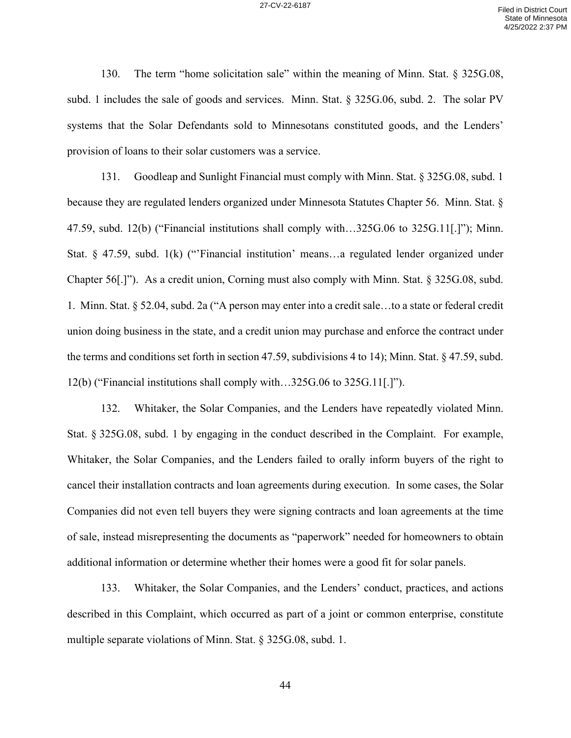130. The term "home solicitation sale" within the meaning of Minn. Stat. § 325G.08, subd. 1 includes the sale of goods and services. Minn. Stat. § 325G.06, subd. 2. The solar PV systems that the Solar Defendants sold to Minnesotans constituted goods, and the Lenders' provision of loans to their solar customers was a service.

131. Goodleap and Sunlight Financial must comply with Minn. Stat. § 325G.08, subd. 1 because they are regulated lenders organized under Minnesota Statutes Chapter 56. Minn. Stat. § 47.59, subd. 12(b) ("Financial institutions shall comply with…325G.06 to 325G.11[.]"); Minn. Stat. § 47.59, subd. 1(k) ("'Financial institution' means…a regulated lender organized under Chapter 56[.]"). As a credit union, Corning must also comply with Minn. Stat. § 325G.08, subd. 1. Minn. Stat. § 52.04, subd. 2a ("A person may enter into a credit sale…to a state or federal credit union doing business in the state, and a credit union may purchase and enforce the contract under the terms and conditions set forth in section 47.59, subdivisions 4 to 14); Minn. Stat. § 47.59, subd. 12(b) ("Financial institutions shall comply with…325G.06 to 325G.11[.]").

132. Whitaker, the Solar Companies, and the Lenders have repeatedly violated Minn. Stat. § 325G.08, subd. 1 by engaging in the conduct described in the Complaint. For example, Whitaker, the Solar Companies, and the Lenders failed to orally inform buyers of the right to cancel their installation contracts and loan agreements during execution. In some cases, the Solar Companies did not even tell buyers they were signing contracts and loan agreements at the time of sale, instead misrepresenting the documents as "paperwork" needed for homeowners to obtain additional information or determine whether their homes were a good fit for solar panels.

133. Whitaker, the Solar Companies, and the Lenders' conduct, practices, and actions described in this Complaint, which occurred as part of a joint or common enterprise, constitute multiple separate violations of Minn. Stat. § 325G.08, subd. 1.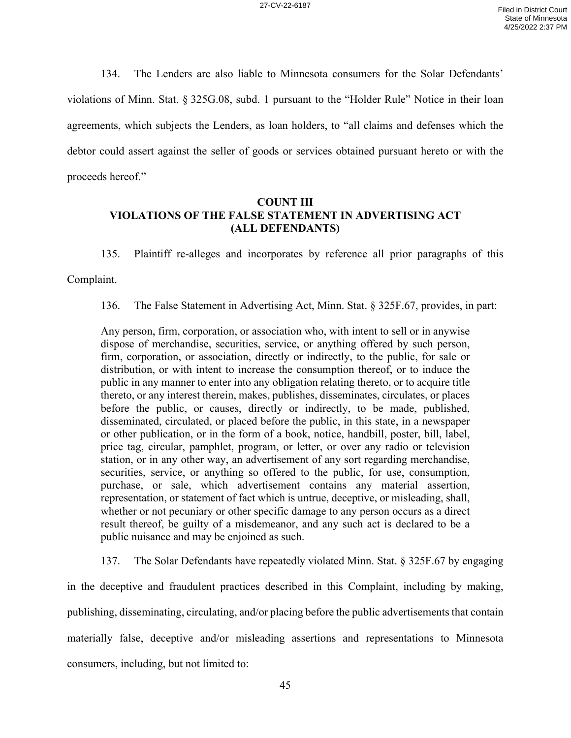134. The Lenders are also liable to Minnesota consumers for the Solar Defendants' violations of Minn. Stat. § 325G.08, subd. 1 pursuant to the "Holder Rule" Notice in their loan agreements, which subjects the Lenders, as loan holders, to "all claims and defenses which the debtor could assert against the seller of goods or services obtained pursuant hereto or with the proceeds hereof."

# **COUNT III VIOLATIONS OF THE FALSE STATEMENT IN ADVERTISING ACT (ALL DEFENDANTS)**

135. Plaintiff re-alleges and incorporates by reference all prior paragraphs of this

Complaint.

136. The False Statement in Advertising Act, Minn. Stat. § 325F.67, provides, in part:

Any person, firm, corporation, or association who, with intent to sell or in anywise dispose of merchandise, securities, service, or anything offered by such person, firm, corporation, or association, directly or indirectly, to the public, for sale or distribution, or with intent to increase the consumption thereof, or to induce the public in any manner to enter into any obligation relating thereto, or to acquire title thereto, or any interest therein, makes, publishes, disseminates, circulates, or places before the public, or causes, directly or indirectly, to be made, published, disseminated, circulated, or placed before the public, in this state, in a newspaper or other publication, or in the form of a book, notice, handbill, poster, bill, label, price tag, circular, pamphlet, program, or letter, or over any radio or television station, or in any other way, an advertisement of any sort regarding merchandise, securities, service, or anything so offered to the public, for use, consumption, purchase, or sale, which advertisement contains any material assertion, representation, or statement of fact which is untrue, deceptive, or misleading, shall, whether or not pecuniary or other specific damage to any person occurs as a direct result thereof, be guilty of a misdemeanor, and any such act is declared to be a public nuisance and may be enjoined as such.

137. The Solar Defendants have repeatedly violated Minn. Stat. § 325F.67 by engaging in the deceptive and fraudulent practices described in this Complaint, including by making, publishing, disseminating, circulating, and/or placing before the public advertisements that contain materially false, deceptive and/or misleading assertions and representations to Minnesota consumers, including, but not limited to: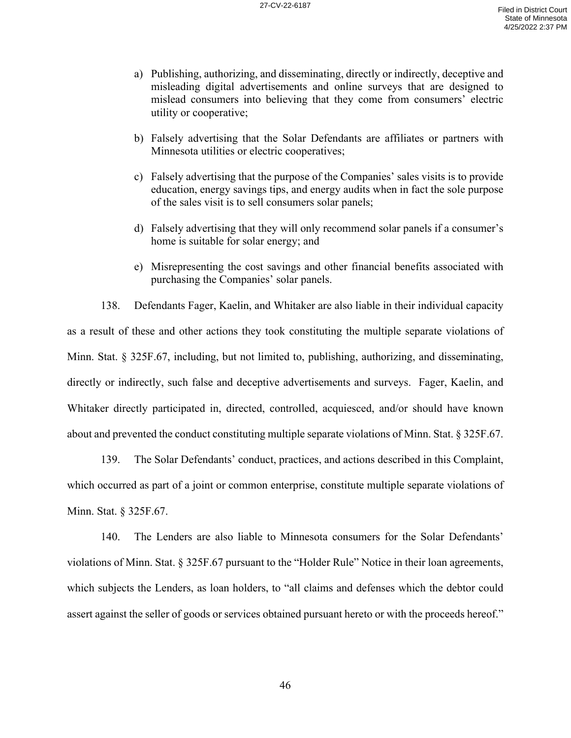- a) Publishing, authorizing, and disseminating, directly or indirectly, deceptive and misleading digital advertisements and online surveys that are designed to mislead consumers into believing that they come from consumers' electric utility or cooperative;
- b) Falsely advertising that the Solar Defendants are affiliates or partners with Minnesota utilities or electric cooperatives;
- c) Falsely advertising that the purpose of the Companies' sales visits is to provide education, energy savings tips, and energy audits when in fact the sole purpose of the sales visit is to sell consumers solar panels;
- d) Falsely advertising that they will only recommend solar panels if a consumer's home is suitable for solar energy; and
- e) Misrepresenting the cost savings and other financial benefits associated with purchasing the Companies' solar panels.

138. Defendants Fager, Kaelin, and Whitaker are also liable in their individual capacity as a result of these and other actions they took constituting the multiple separate violations of Minn. Stat. § 325F.67, including, but not limited to, publishing, authorizing, and disseminating, directly or indirectly, such false and deceptive advertisements and surveys. Fager, Kaelin, and Whitaker directly participated in, directed, controlled, acquiesced, and/or should have known about and prevented the conduct constituting multiple separate violations of Minn. Stat. § 325F.67.

139. The Solar Defendants' conduct, practices, and actions described in this Complaint, which occurred as part of a joint or common enterprise, constitute multiple separate violations of Minn. Stat. § 325F.67.

140. The Lenders are also liable to Minnesota consumers for the Solar Defendants' violations of Minn. Stat. § 325F.67 pursuant to the "Holder Rule" Notice in their loan agreements, which subjects the Lenders, as loan holders, to "all claims and defenses which the debtor could assert against the seller of goods or services obtained pursuant hereto or with the proceeds hereof."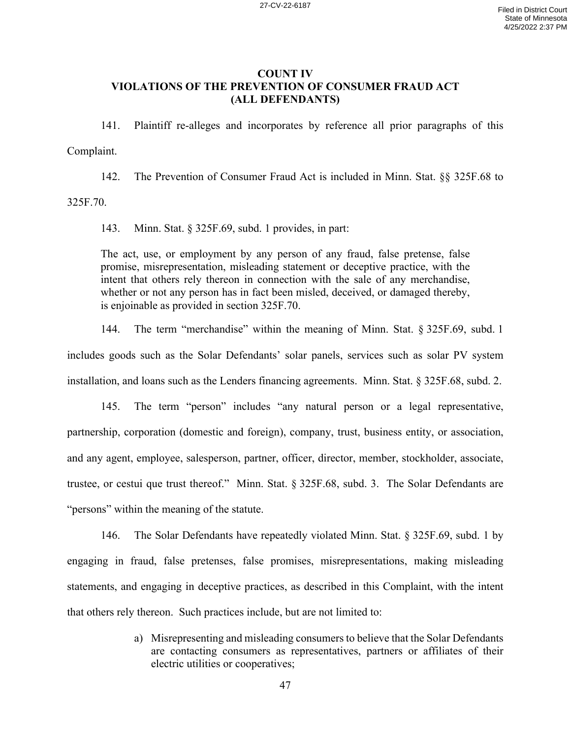## **COUNT IV VIOLATIONS OF THE PREVENTION OF CONSUMER FRAUD ACT (ALL DEFENDANTS)**

141. Plaintiff re-alleges and incorporates by reference all prior paragraphs of this Complaint.

142. The Prevention of Consumer Fraud Act is included in Minn. Stat. §§ 325F.68 to

325F.70.

143. Minn. Stat. § 325F.69, subd. 1 provides, in part:

The act, use, or employment by any person of any fraud, false pretense, false promise, misrepresentation, misleading statement or deceptive practice, with the intent that others rely thereon in connection with the sale of any merchandise, whether or not any person has in fact been misled, deceived, or damaged thereby, is enjoinable as provided in section 325F.70.

144. The term "merchandise" within the meaning of Minn. Stat. § 325F.69, subd. 1 includes goods such as the Solar Defendants' solar panels, services such as solar PV system installation, and loans such as the Lenders financing agreements. Minn. Stat. § 325F.68, subd. 2.

145. The term "person" includes "any natural person or a legal representative, partnership, corporation (domestic and foreign), company, trust, business entity, or association, and any agent, employee, salesperson, partner, officer, director, member, stockholder, associate, trustee, or cestui que trust thereof." Minn. Stat. § 325F.68, subd. 3. The Solar Defendants are "persons" within the meaning of the statute.

146. The Solar Defendants have repeatedly violated Minn. Stat. § 325F.69, subd. 1 by engaging in fraud, false pretenses, false promises, misrepresentations, making misleading statements, and engaging in deceptive practices, as described in this Complaint, with the intent that others rely thereon. Such practices include, but are not limited to:

> a) Misrepresenting and misleading consumers to believe that the Solar Defendants are contacting consumers as representatives, partners or affiliates of their electric utilities or cooperatives;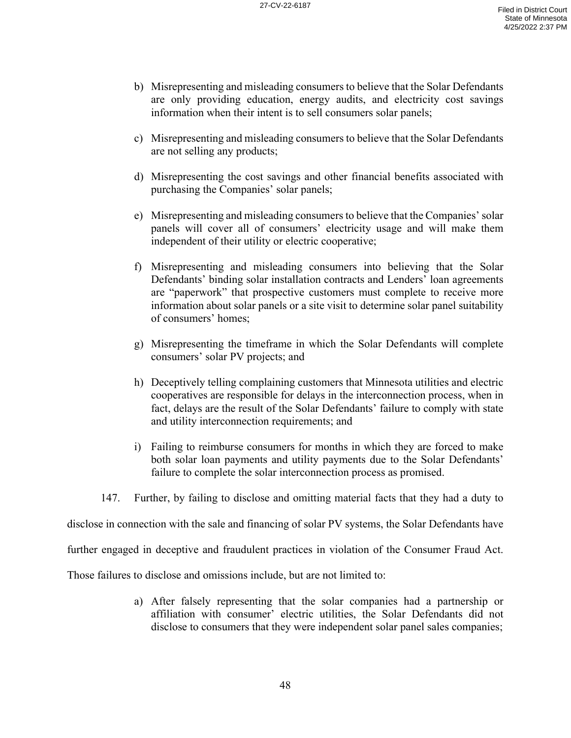- b) Misrepresenting and misleading consumers to believe that the Solar Defendants are only providing education, energy audits, and electricity cost savings information when their intent is to sell consumers solar panels;
- c) Misrepresenting and misleading consumers to believe that the Solar Defendants are not selling any products;
- d) Misrepresenting the cost savings and other financial benefits associated with purchasing the Companies' solar panels;
- e) Misrepresenting and misleading consumers to believe that the Companies' solar panels will cover all of consumers' electricity usage and will make them independent of their utility or electric cooperative;
- f) Misrepresenting and misleading consumers into believing that the Solar Defendants' binding solar installation contracts and Lenders' loan agreements are "paperwork" that prospective customers must complete to receive more information about solar panels or a site visit to determine solar panel suitability of consumers' homes;
- g) Misrepresenting the timeframe in which the Solar Defendants will complete consumers' solar PV projects; and
- h) Deceptively telling complaining customers that Minnesota utilities and electric cooperatives are responsible for delays in the interconnection process, when in fact, delays are the result of the Solar Defendants' failure to comply with state and utility interconnection requirements; and
- i) Failing to reimburse consumers for months in which they are forced to make both solar loan payments and utility payments due to the Solar Defendants' failure to complete the solar interconnection process as promised.
- 147. Further, by failing to disclose and omitting material facts that they had a duty to

disclose in connection with the sale and financing of solar PV systems, the Solar Defendants have

further engaged in deceptive and fraudulent practices in violation of the Consumer Fraud Act.

Those failures to disclose and omissions include, but are not limited to:

a) After falsely representing that the solar companies had a partnership or affiliation with consumer' electric utilities, the Solar Defendants did not disclose to consumers that they were independent solar panel sales companies;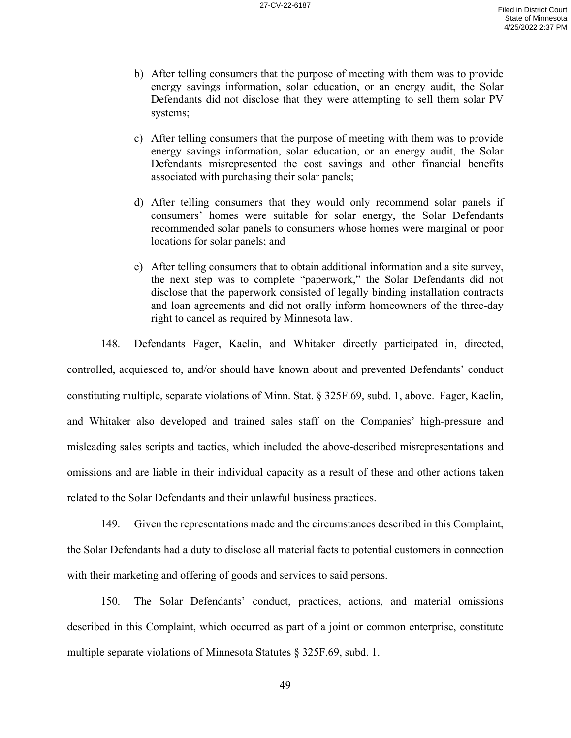- b) After telling consumers that the purpose of meeting with them was to provide energy savings information, solar education, or an energy audit, the Solar Defendants did not disclose that they were attempting to sell them solar PV systems;
- c) After telling consumers that the purpose of meeting with them was to provide energy savings information, solar education, or an energy audit, the Solar Defendants misrepresented the cost savings and other financial benefits associated with purchasing their solar panels;
- d) After telling consumers that they would only recommend solar panels if consumers' homes were suitable for solar energy, the Solar Defendants recommended solar panels to consumers whose homes were marginal or poor locations for solar panels; and
- e) After telling consumers that to obtain additional information and a site survey, the next step was to complete "paperwork," the Solar Defendants did not disclose that the paperwork consisted of legally binding installation contracts and loan agreements and did not orally inform homeowners of the three-day right to cancel as required by Minnesota law.

148. Defendants Fager, Kaelin, and Whitaker directly participated in, directed, controlled, acquiesced to, and/or should have known about and prevented Defendants' conduct constituting multiple, separate violations of Minn. Stat. § 325F.69, subd. 1, above. Fager, Kaelin, and Whitaker also developed and trained sales staff on the Companies' high-pressure and misleading sales scripts and tactics, which included the above-described misrepresentations and omissions and are liable in their individual capacity as a result of these and other actions taken related to the Solar Defendants and their unlawful business practices.

149. Given the representations made and the circumstances described in this Complaint, the Solar Defendants had a duty to disclose all material facts to potential customers in connection with their marketing and offering of goods and services to said persons.

150. The Solar Defendants' conduct, practices, actions, and material omissions described in this Complaint, which occurred as part of a joint or common enterprise, constitute multiple separate violations of Minnesota Statutes § 325F.69, subd. 1.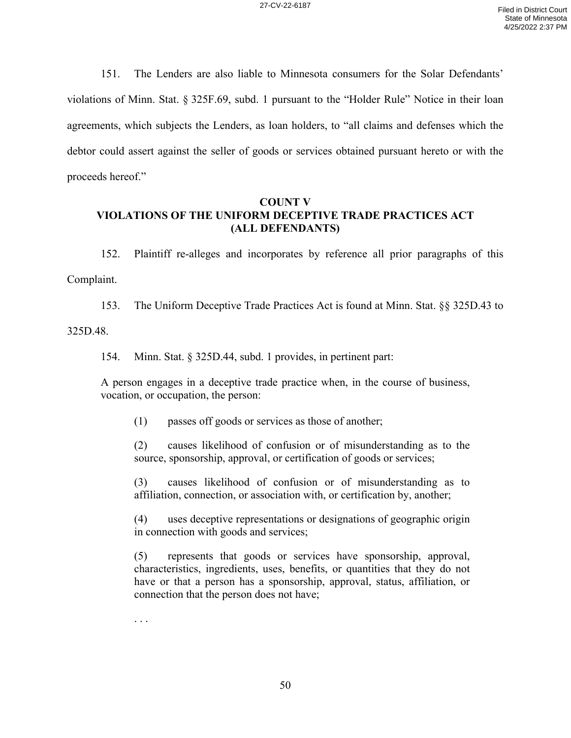151. The Lenders are also liable to Minnesota consumers for the Solar Defendants' violations of Minn. Stat. § 325F.69, subd. 1 pursuant to the "Holder Rule" Notice in their loan agreements, which subjects the Lenders, as loan holders, to "all claims and defenses which the debtor could assert against the seller of goods or services obtained pursuant hereto or with the proceeds hereof."

# **COUNT V VIOLATIONS OF THE UNIFORM DECEPTIVE TRADE PRACTICES ACT (ALL DEFENDANTS)**

152. Plaintiff re-alleges and incorporates by reference all prior paragraphs of this Complaint.

153. The Uniform Deceptive Trade Practices Act is found at Minn. Stat. §§ 325D.43 to

325D.48.

154. Minn. Stat. § 325D.44, subd. 1 provides, in pertinent part:

A person engages in a deceptive trade practice when, in the course of business, vocation, or occupation, the person:

(1) passes off goods or services as those of another;

(2) causes likelihood of confusion or of misunderstanding as to the source, sponsorship, approval, or certification of goods or services;

(3) causes likelihood of confusion or of misunderstanding as to affiliation, connection, or association with, or certification by, another;

(4) uses deceptive representations or designations of geographic origin in connection with goods and services;

(5) represents that goods or services have sponsorship, approval, characteristics, ingredients, uses, benefits, or quantities that they do not have or that a person has a sponsorship, approval, status, affiliation, or connection that the person does not have;

. . .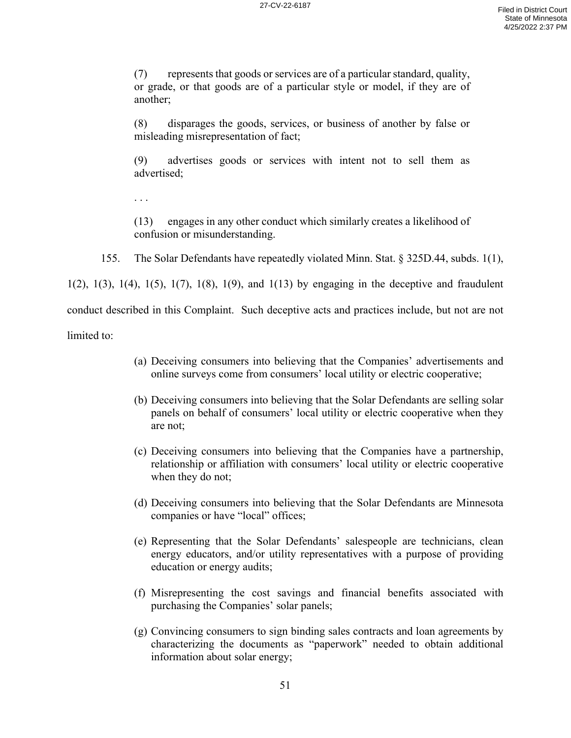(7) represents that goods or services are of a particular standard, quality, or grade, or that goods are of a particular style or model, if they are of another;

(8) disparages the goods, services, or business of another by false or misleading misrepresentation of fact;

(9) advertises goods or services with intent not to sell them as advertised;

(13) engages in any other conduct which similarly creates a likelihood of confusion or misunderstanding.

155. The Solar Defendants have repeatedly violated Minn. Stat. § 325D.44, subds. 1(1),

 $1(2)$ ,  $1(3)$ ,  $1(4)$ ,  $1(5)$ ,  $1(7)$ ,  $1(8)$ ,  $1(9)$ , and  $1(13)$  by engaging in the deceptive and fraudulent conduct described in this Complaint. Such deceptive acts and practices include, but not are not

limited to:

. . .

- (a) Deceiving consumers into believing that the Companies' advertisements and online surveys come from consumers' local utility or electric cooperative;
- (b) Deceiving consumers into believing that the Solar Defendants are selling solar panels on behalf of consumers' local utility or electric cooperative when they are not;
- (c) Deceiving consumers into believing that the Companies have a partnership, relationship or affiliation with consumers' local utility or electric cooperative when they do not;
- (d) Deceiving consumers into believing that the Solar Defendants are Minnesota companies or have "local" offices;
- (e) Representing that the Solar Defendants' salespeople are technicians, clean energy educators, and/or utility representatives with a purpose of providing education or energy audits;
- (f) Misrepresenting the cost savings and financial benefits associated with purchasing the Companies' solar panels;
- (g) Convincing consumers to sign binding sales contracts and loan agreements by characterizing the documents as "paperwork" needed to obtain additional information about solar energy;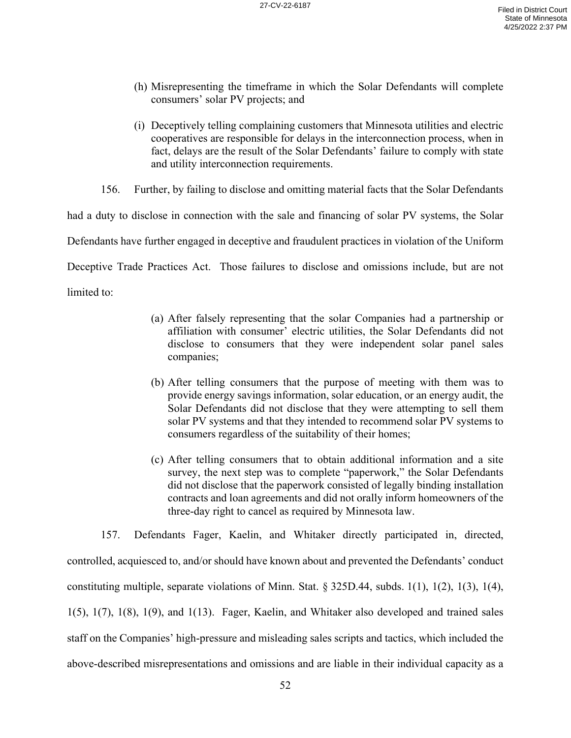- (h) Misrepresenting the timeframe in which the Solar Defendants will complete consumers' solar PV projects; and
- (i) Deceptively telling complaining customers that Minnesota utilities and electric cooperatives are responsible for delays in the interconnection process, when in fact, delays are the result of the Solar Defendants' failure to comply with state and utility interconnection requirements.

156. Further, by failing to disclose and omitting material facts that the Solar Defendants

had a duty to disclose in connection with the sale and financing of solar PV systems, the Solar

Defendants have further engaged in deceptive and fraudulent practices in violation of the Uniform

Deceptive Trade Practices Act. Those failures to disclose and omissions include, but are not

limited to:

- (a) After falsely representing that the solar Companies had a partnership or affiliation with consumer' electric utilities, the Solar Defendants did not disclose to consumers that they were independent solar panel sales companies;
- (b) After telling consumers that the purpose of meeting with them was to provide energy savings information, solar education, or an energy audit, the Solar Defendants did not disclose that they were attempting to sell them solar PV systems and that they intended to recommend solar PV systems to consumers regardless of the suitability of their homes;
- (c) After telling consumers that to obtain additional information and a site survey, the next step was to complete "paperwork," the Solar Defendants did not disclose that the paperwork consisted of legally binding installation contracts and loan agreements and did not orally inform homeowners of the three-day right to cancel as required by Minnesota law.

157. Defendants Fager, Kaelin, and Whitaker directly participated in, directed, controlled, acquiesced to, and/or should have known about and prevented the Defendants' conduct constituting multiple, separate violations of Minn. Stat. § 325D.44, subds. 1(1), 1(2), 1(3), 1(4),  $1(5)$ ,  $1(7)$ ,  $1(8)$ ,  $1(9)$ , and  $1(13)$ . Fager, Kaelin, and Whitaker also developed and trained sales staff on the Companies' high-pressure and misleading sales scripts and tactics, which included the above-described misrepresentations and omissions and are liable in their individual capacity as a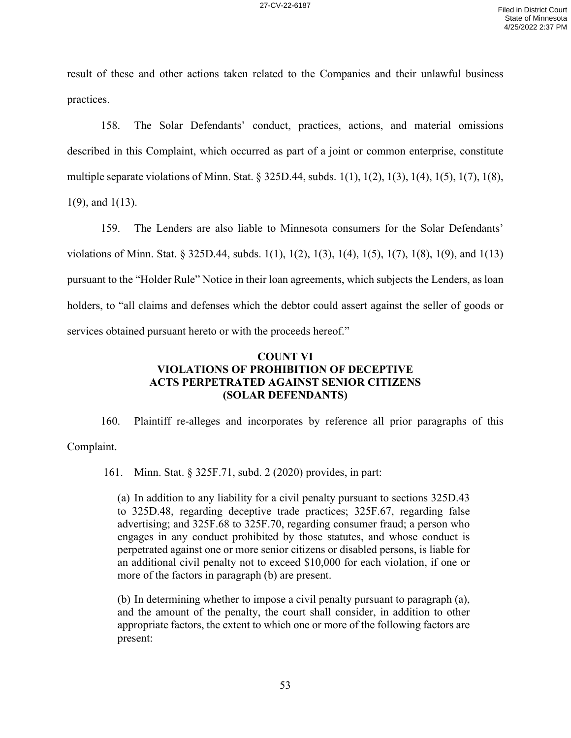result of these and other actions taken related to the Companies and their unlawful business practices.

158. The Solar Defendants' conduct, practices, actions, and material omissions described in this Complaint, which occurred as part of a joint or common enterprise, constitute multiple separate violations of Minn. Stat. § 325D.44, subds. 1(1), 1(2), 1(3), 1(4), 1(5), 1(7), 1(8), 1(9), and 1(13).

159. The Lenders are also liable to Minnesota consumers for the Solar Defendants' violations of Minn. Stat. § 325D.44, subds. 1(1), 1(2), 1(3), 1(4), 1(5), 1(7), 1(8), 1(9), and 1(13) pursuant to the "Holder Rule" Notice in their loan agreements, which subjects the Lenders, as loan holders, to "all claims and defenses which the debtor could assert against the seller of goods or services obtained pursuant hereto or with the proceeds hereof."

# **COUNT VI VIOLATIONS OF PROHIBITION OF DECEPTIVE ACTS PERPETRATED AGAINST SENIOR CITIZENS (SOLAR DEFENDANTS)**

160. Plaintiff re-alleges and incorporates by reference all prior paragraphs of this Complaint.

161. Minn. Stat. § 325F.71, subd. 2 (2020) provides, in part:

(a) In addition to any liability for a civil penalty pursuant to sections 325D.43 to 325D.48, regarding deceptive trade practices; 325F.67, regarding false advertising; and 325F.68 to 325F.70, regarding consumer fraud; a person who engages in any conduct prohibited by those statutes, and whose conduct is perpetrated against one or more senior citizens or disabled persons, is liable for an additional civil penalty not to exceed \$10,000 for each violation, if one or more of the factors in paragraph (b) are present.

(b) In determining whether to impose a civil penalty pursuant to paragraph (a), and the amount of the penalty, the court shall consider, in addition to other appropriate factors, the extent to which one or more of the following factors are present: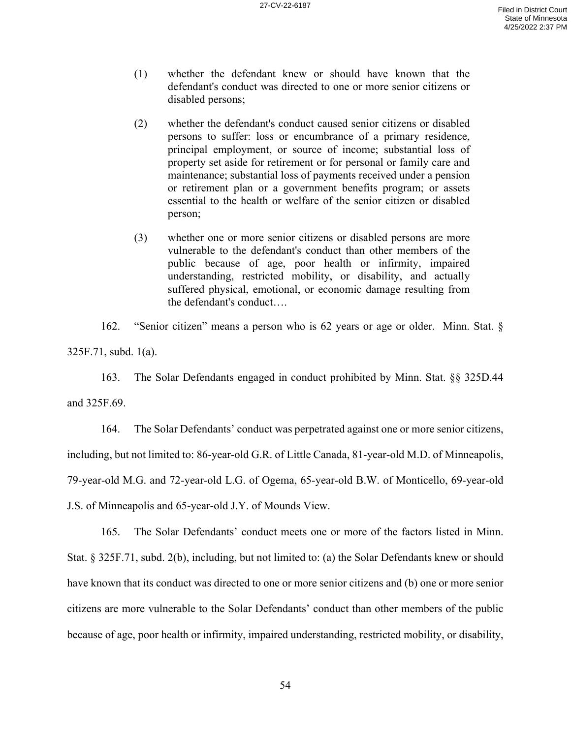- (1) whether the defendant knew or should have known that the defendant's conduct was directed to one or more senior citizens or disabled persons;
- (2) whether the defendant's conduct caused senior citizens or disabled persons to suffer: loss or encumbrance of a primary residence, principal employment, or source of income; substantial loss of property set aside for retirement or for personal or family care and maintenance; substantial loss of payments received under a pension or retirement plan or a government benefits program; or assets essential to the health or welfare of the senior citizen or disabled person;
- (3) whether one or more senior citizens or disabled persons are more vulnerable to the defendant's conduct than other members of the public because of age, poor health or infirmity, impaired understanding, restricted mobility, or disability, and actually suffered physical, emotional, or economic damage resulting from the defendant's conduct….

162. "Senior citizen" means a person who is 62 years or age or older. Minn. Stat. § 325F.71, subd. 1(a).

163. The Solar Defendants engaged in conduct prohibited by Minn. Stat. §§ 325D.44 and 325F.69.

164. The Solar Defendants' conduct was perpetrated against one or more senior citizens, including, but not limited to: 86-year-old G.R. of Little Canada, 81-year-old M.D. of Minneapolis, 79-year-old M.G. and 72-year-old L.G. of Ogema, 65-year-old B.W. of Monticello, 69-year-old J.S. of Minneapolis and 65-year-old J.Y. of Mounds View.

165. The Solar Defendants' conduct meets one or more of the factors listed in Minn. Stat. § 325F.71, subd. 2(b), including, but not limited to: (a) the Solar Defendants knew or should have known that its conduct was directed to one or more senior citizens and (b) one or more senior citizens are more vulnerable to the Solar Defendants' conduct than other members of the public because of age, poor health or infirmity, impaired understanding, restricted mobility, or disability,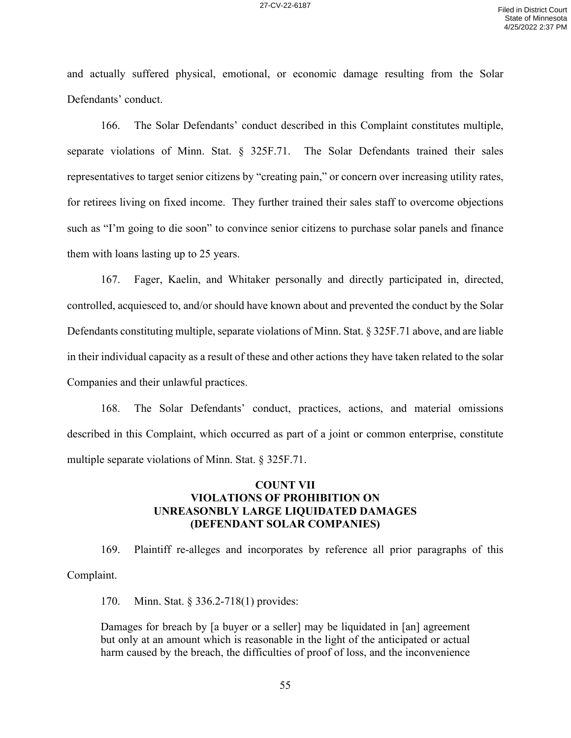and actually suffered physical, emotional, or economic damage resulting from the Solar Defendants' conduct.

166. The Solar Defendants' conduct described in this Complaint constitutes multiple, separate violations of Minn. Stat. § 325F.71. The Solar Defendants trained their sales representatives to target senior citizens by "creating pain," or concern over increasing utility rates, for retirees living on fixed income. They further trained their sales staff to overcome objections such as "I'm going to die soon" to convince senior citizens to purchase solar panels and finance them with loans lasting up to 25 years.

167. Fager, Kaelin, and Whitaker personally and directly participated in, directed, controlled, acquiesced to, and/or should have known about and prevented the conduct by the Solar Defendants constituting multiple, separate violations of Minn. Stat. § 325F.71 above, and are liable in their individual capacity as a result of these and other actions they have taken related to the solar Companies and their unlawful practices.

168. The Solar Defendants' conduct, practices, actions, and material omissions described in this Complaint, which occurred as part of a joint or common enterprise, constitute multiple separate violations of Minn. Stat. § 325F.71.

# **COUNT VII VIOLATIONS OF PROHIBITION ON UNREASONBLY LARGE LIQUIDATED DAMAGES (DEFENDANT SOLAR COMPANIES)**

169. Plaintiff re-alleges and incorporates by reference all prior paragraphs of this Complaint.

170. Minn. Stat. § 336.2-718(1) provides:

Damages for breach by [a buyer or a seller] may be liquidated in [an] agreement but only at an amount which is reasonable in the light of the anticipated or actual harm caused by the breach, the difficulties of proof of loss, and the inconvenience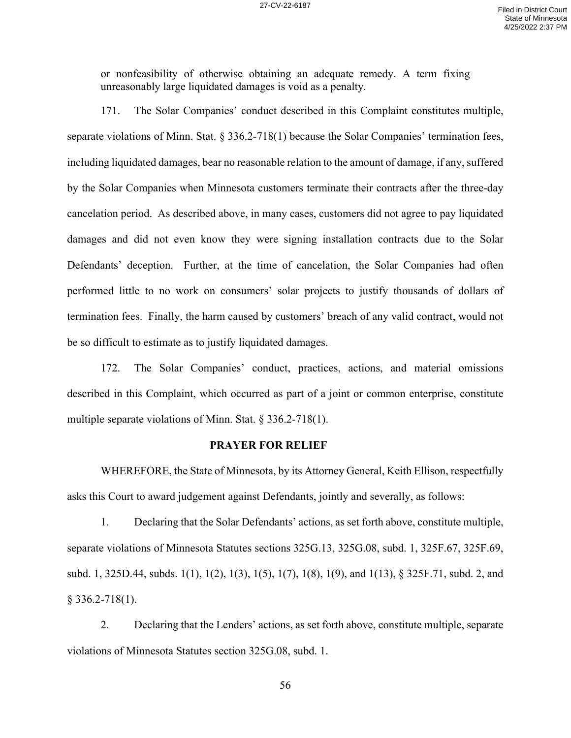or nonfeasibility of otherwise obtaining an adequate remedy. A term fixing unreasonably large liquidated damages is void as a penalty.

171. The Solar Companies' conduct described in this Complaint constitutes multiple, separate violations of Minn. Stat. § 336.2-718(1) because the Solar Companies' termination fees, including liquidated damages, bear no reasonable relation to the amount of damage, if any, suffered by the Solar Companies when Minnesota customers terminate their contracts after the three-day cancelation period. As described above, in many cases, customers did not agree to pay liquidated damages and did not even know they were signing installation contracts due to the Solar Defendants' deception. Further, at the time of cancelation, the Solar Companies had often performed little to no work on consumers' solar projects to justify thousands of dollars of termination fees. Finally, the harm caused by customers' breach of any valid contract, would not be so difficult to estimate as to justify liquidated damages.

172. The Solar Companies' conduct, practices, actions, and material omissions described in this Complaint, which occurred as part of a joint or common enterprise, constitute multiple separate violations of Minn. Stat. § 336.2-718(1).

#### **PRAYER FOR RELIEF**

WHEREFORE, the State of Minnesota, by its Attorney General, Keith Ellison, respectfully asks this Court to award judgement against Defendants, jointly and severally, as follows:

1. Declaring that the Solar Defendants' actions, as set forth above, constitute multiple, separate violations of Minnesota Statutes sections 325G.13, 325G.08, subd. 1, 325F.67, 325F.69, subd. 1, 325D.44, subds. 1(1), 1(2), 1(3), 1(5), 1(7), 1(8), 1(9), and 1(13), § 325F.71, subd. 2, and § 336.2-718(1).

2. Declaring that the Lenders' actions, as set forth above, constitute multiple, separate violations of Minnesota Statutes section 325G.08, subd. 1.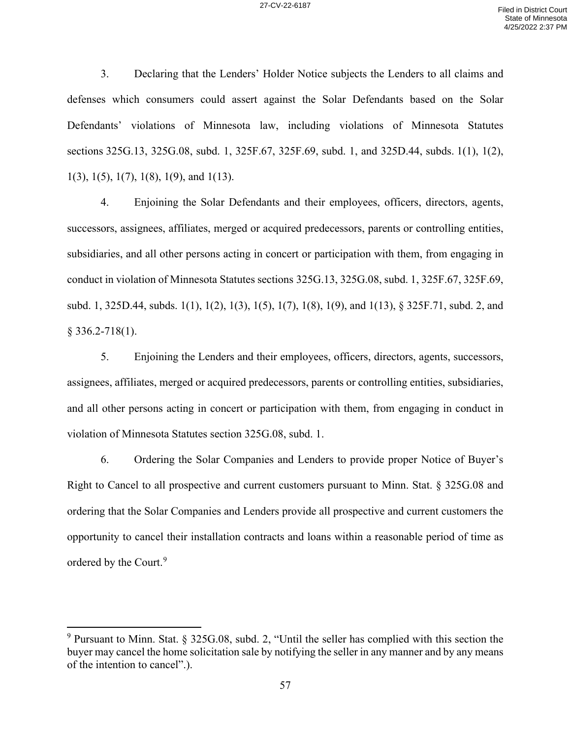3. Declaring that the Lenders' Holder Notice subjects the Lenders to all claims and defenses which consumers could assert against the Solar Defendants based on the Solar Defendants' violations of Minnesota law, including violations of Minnesota Statutes sections 325G.13, 325G.08, subd. 1, 325F.67, 325F.69, subd. 1, and 325D.44, subds. 1(1), 1(2), 1(3), 1(5), 1(7), 1(8), 1(9), and 1(13).

4. Enjoining the Solar Defendants and their employees, officers, directors, agents, successors, assignees, affiliates, merged or acquired predecessors, parents or controlling entities, subsidiaries, and all other persons acting in concert or participation with them, from engaging in conduct in violation of Minnesota Statutes sections 325G.13, 325G.08, subd. 1, 325F.67, 325F.69, subd. 1, 325D.44, subds. 1(1), 1(2), 1(3), 1(5), 1(7), 1(8), 1(9), and 1(13), § 325F.71, subd. 2, and § 336.2-718(1).

5. Enjoining the Lenders and their employees, officers, directors, agents, successors, assignees, affiliates, merged or acquired predecessors, parents or controlling entities, subsidiaries, and all other persons acting in concert or participation with them, from engaging in conduct in violation of Minnesota Statutes section 325G.08, subd. 1.

6. Ordering the Solar Companies and Lenders to provide proper Notice of Buyer's Right to Cancel to all prospective and current customers pursuant to Minn. Stat. § 325G.08 and ordering that the Solar Companies and Lenders provide all prospective and current customers the opportunity to cancel their installation contracts and loans within a reasonable period of time as ordered by the Court.<sup>9</sup>

<sup>9</sup> Pursuant to Minn. Stat. § 325G.08, subd. 2, "Until the seller has complied with this section the buyer may cancel the home solicitation sale by notifying the seller in any manner and by any means of the intention to cancel".).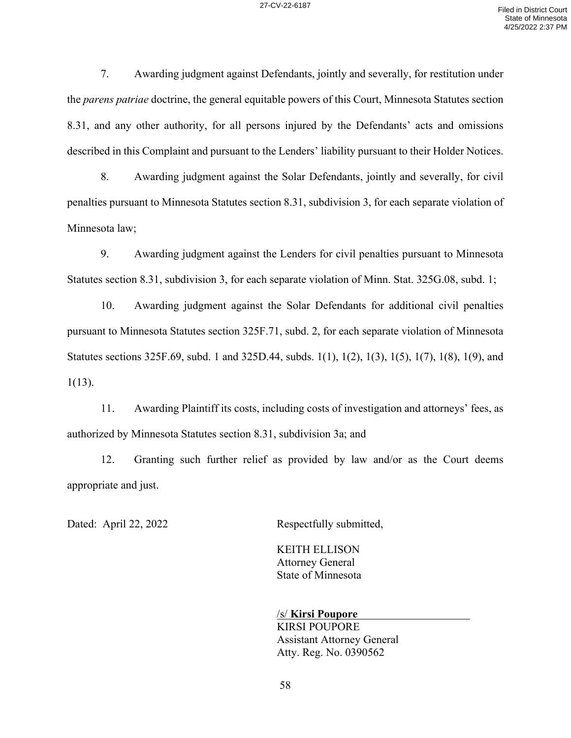7. Awarding judgment against Defendants, jointly and severally, for restitution under the *parens patriae* doctrine, the general equitable powers of this Court, Minnesota Statutes section 8.31, and any other authority, for all persons injured by the Defendants' acts and omissions described in this Complaint and pursuant to the Lenders' liability pursuant to their Holder Notices.

8. Awarding judgment against the Solar Defendants, jointly and severally, for civil penalties pursuant to Minnesota Statutes section 8.31, subdivision 3, for each separate violation of Minnesota law;

9. Awarding judgment against the Lenders for civil penalties pursuant to Minnesota Statutes section 8.31, subdivision 3, for each separate violation of Minn. Stat. 325G.08, subd. 1;

10. Awarding judgment against the Solar Defendants for additional civil penalties pursuant to Minnesota Statutes section 325F.71, subd. 2, for each separate violation of Minnesota Statutes sections 325F.69, subd. 1 and 325D.44, subds. 1(1), 1(2), 1(3), 1(5), 1(7), 1(8), 1(9), and  $1(13)$ .

11. Awarding Plaintiff its costs, including costs of investigation and attorneys' fees, as authorized by Minnesota Statutes section 8.31, subdivision 3a; and

12. Granting such further relief as provided by law and/or as the Court deems appropriate and just.

Dated: April 22, 2022 Respectfully submitted,

KEITH ELLISON Attorney General State of Minnesota

/s/ **Kirsi Poupore** KIRSI POUPORE Assistant Attorney General Atty. Reg. No. 0390562